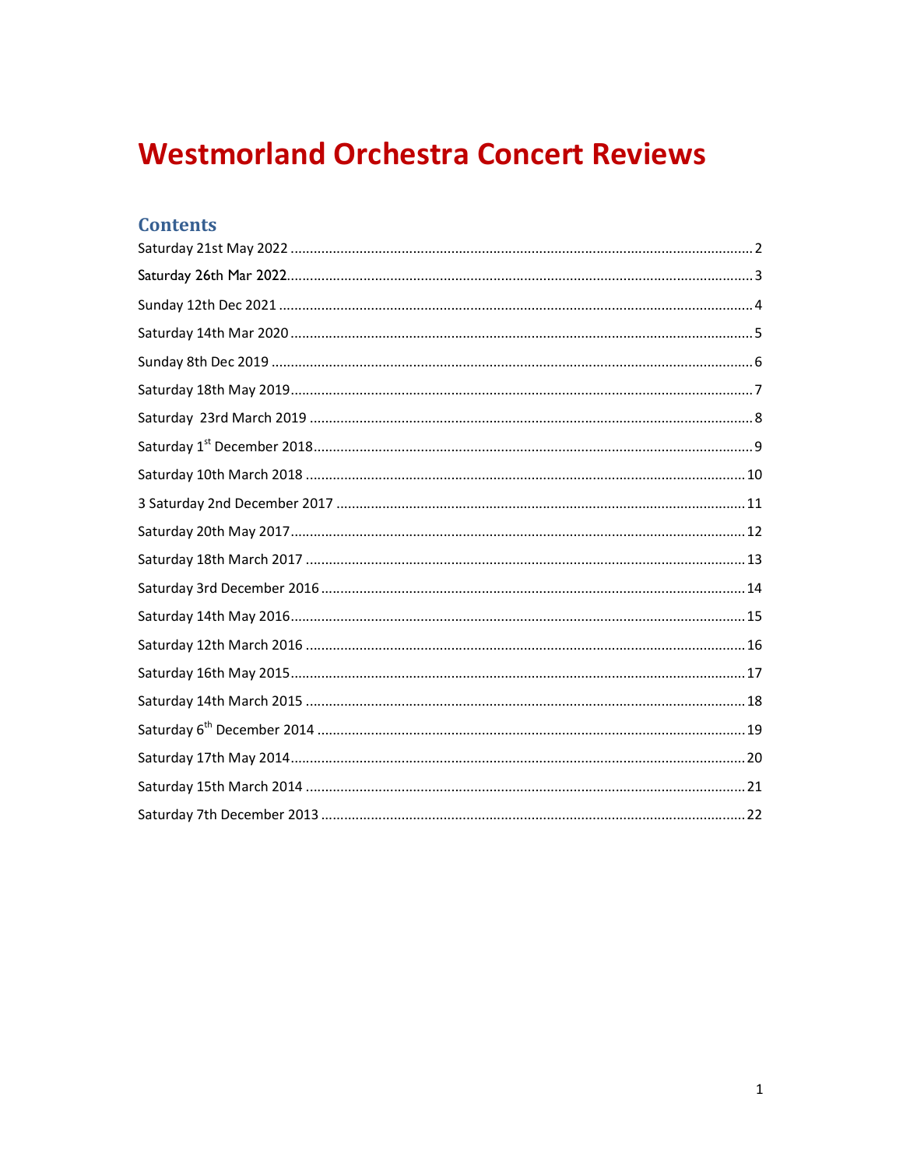# **Westmorland Orchestra Concert Reviews**

# **Contents**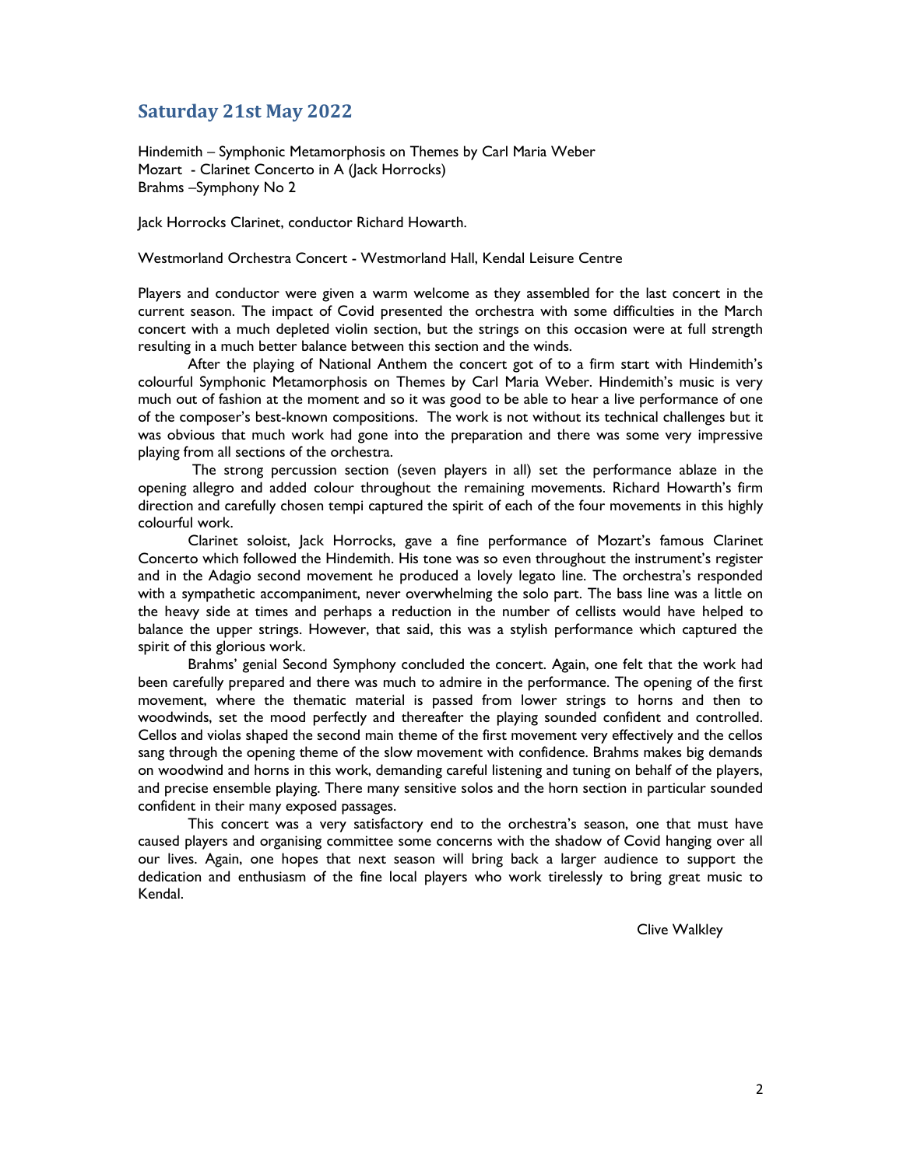#### Saturday 21st May 2022

Hindemith – Symphonic Metamorphosis on Themes by Carl Maria Weber Mozart - Clarinet Concerto in A (Jack Horrocks) Brahms –Symphony No 2

Jack Horrocks Clarinet, conductor Richard Howarth.

#### Westmorland Orchestra Concert - Westmorland Hall, Kendal Leisure Centre

Players and conductor were given a warm welcome as they assembled for the last concert in the current season. The impact of Covid presented the orchestra with some difficulties in the March concert with a much depleted violin section, but the strings on this occasion were at full strength resulting in a much better balance between this section and the winds.

After the playing of National Anthem the concert got of to a firm start with Hindemith's colourful Symphonic Metamorphosis on Themes by Carl Maria Weber. Hindemith's music is very much out of fashion at the moment and so it was good to be able to hear a live performance of one of the composer's best-known compositions. The work is not without its technical challenges but it was obvious that much work had gone into the preparation and there was some very impressive playing from all sections of the orchestra.

 The strong percussion section (seven players in all) set the performance ablaze in the opening allegro and added colour throughout the remaining movements. Richard Howarth's firm direction and carefully chosen tempi captured the spirit of each of the four movements in this highly colourful work.

Clarinet soloist, Jack Horrocks, gave a fine performance of Mozart's famous Clarinet Concerto which followed the Hindemith. His tone was so even throughout the instrument's register and in the Adagio second movement he produced a lovely legato line. The orchestra's responded with a sympathetic accompaniment, never overwhelming the solo part. The bass line was a little on the heavy side at times and perhaps a reduction in the number of cellists would have helped to balance the upper strings. However, that said, this was a stylish performance which captured the spirit of this glorious work.

Brahms' genial Second Symphony concluded the concert. Again, one felt that the work had been carefully prepared and there was much to admire in the performance. The opening of the first movement, where the thematic material is passed from lower strings to horns and then to woodwinds, set the mood perfectly and thereafter the playing sounded confident and controlled. Cellos and violas shaped the second main theme of the first movement very effectively and the cellos sang through the opening theme of the slow movement with confidence. Brahms makes big demands on woodwind and horns in this work, demanding careful listening and tuning on behalf of the players, and precise ensemble playing. There many sensitive solos and the horn section in particular sounded confident in their many exposed passages.

This concert was a very satisfactory end to the orchestra's season, one that must have caused players and organising committee some concerns with the shadow of Covid hanging over all our lives. Again, one hopes that next season will bring back a larger audience to support the dedication and enthusiasm of the fine local players who work tirelessly to bring great music to Kendal.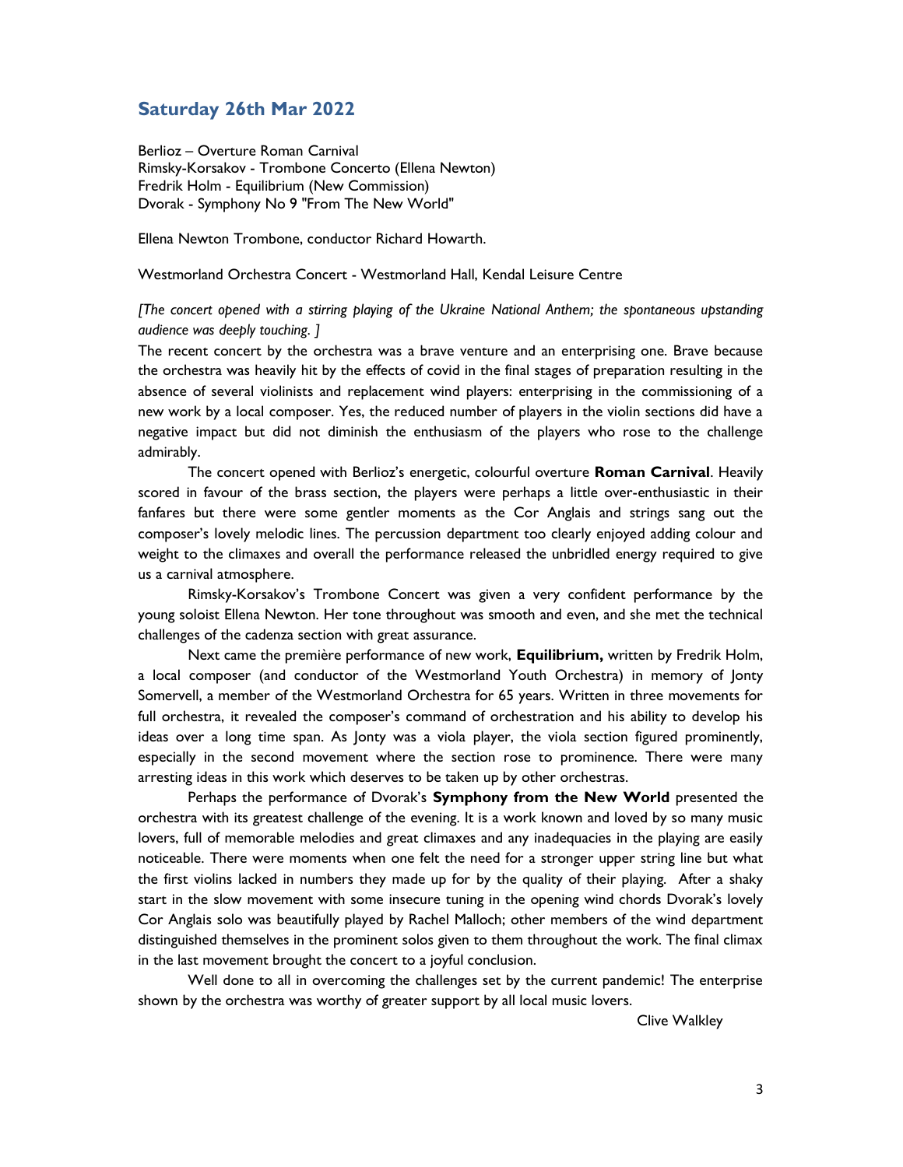#### Saturday 26th Mar 2022

Berlioz – Overture Roman Carnival Rimsky-Korsakov - Trombone Concerto (Ellena Newton) Fredrik Holm - Equilibrium (New Commission) Dvorak - Symphony No 9 "From The New World"

Ellena Newton Trombone, conductor Richard Howarth.

#### Westmorland Orchestra Concert - Westmorland Hall, Kendal Leisure Centre

#### [The concert opened with a stirring playing of the Ukraine National Anthem; the spontaneous upstanding audience was deeply touching. ]

The recent concert by the orchestra was a brave venture and an enterprising one. Brave because the orchestra was heavily hit by the effects of covid in the final stages of preparation resulting in the absence of several violinists and replacement wind players: enterprising in the commissioning of a new work by a local composer. Yes, the reduced number of players in the violin sections did have a negative impact but did not diminish the enthusiasm of the players who rose to the challenge admirably.

 The concert opened with Berlioz's energetic, colourful overture Roman Carnival. Heavily scored in favour of the brass section, the players were perhaps a little over-enthusiastic in their fanfares but there were some gentler moments as the Cor Anglais and strings sang out the composer's lovely melodic lines. The percussion department too clearly enjoyed adding colour and weight to the climaxes and overall the performance released the unbridled energy required to give us a carnival atmosphere.

 Rimsky-Korsakov's Trombone Concert was given a very confident performance by the young soloist Ellena Newton. Her tone throughout was smooth and even, and she met the technical challenges of the cadenza section with great assurance.

 Next came the première performance of new work, Equilibrium, written by Fredrik Holm, a local composer (and conductor of the Westmorland Youth Orchestra) in memory of Jonty Somervell, a member of the Westmorland Orchestra for 65 years. Written in three movements for full orchestra, it revealed the composer's command of orchestration and his ability to develop his ideas over a long time span. As Jonty was a viola player, the viola section figured prominently, especially in the second movement where the section rose to prominence. There were many arresting ideas in this work which deserves to be taken up by other orchestras.

 Perhaps the performance of Dvorak's Symphony from the New World presented the orchestra with its greatest challenge of the evening. It is a work known and loved by so many music lovers, full of memorable melodies and great climaxes and any inadequacies in the playing are easily noticeable. There were moments when one felt the need for a stronger upper string line but what the first violins lacked in numbers they made up for by the quality of their playing. After a shaky start in the slow movement with some insecure tuning in the opening wind chords Dvorak's lovely Cor Anglais solo was beautifully played by Rachel Malloch; other members of the wind department distinguished themselves in the prominent solos given to them throughout the work. The final climax in the last movement brought the concert to a joyful conclusion.

Well done to all in overcoming the challenges set by the current pandemic! The enterprise shown by the orchestra was worthy of greater support by all local music lovers.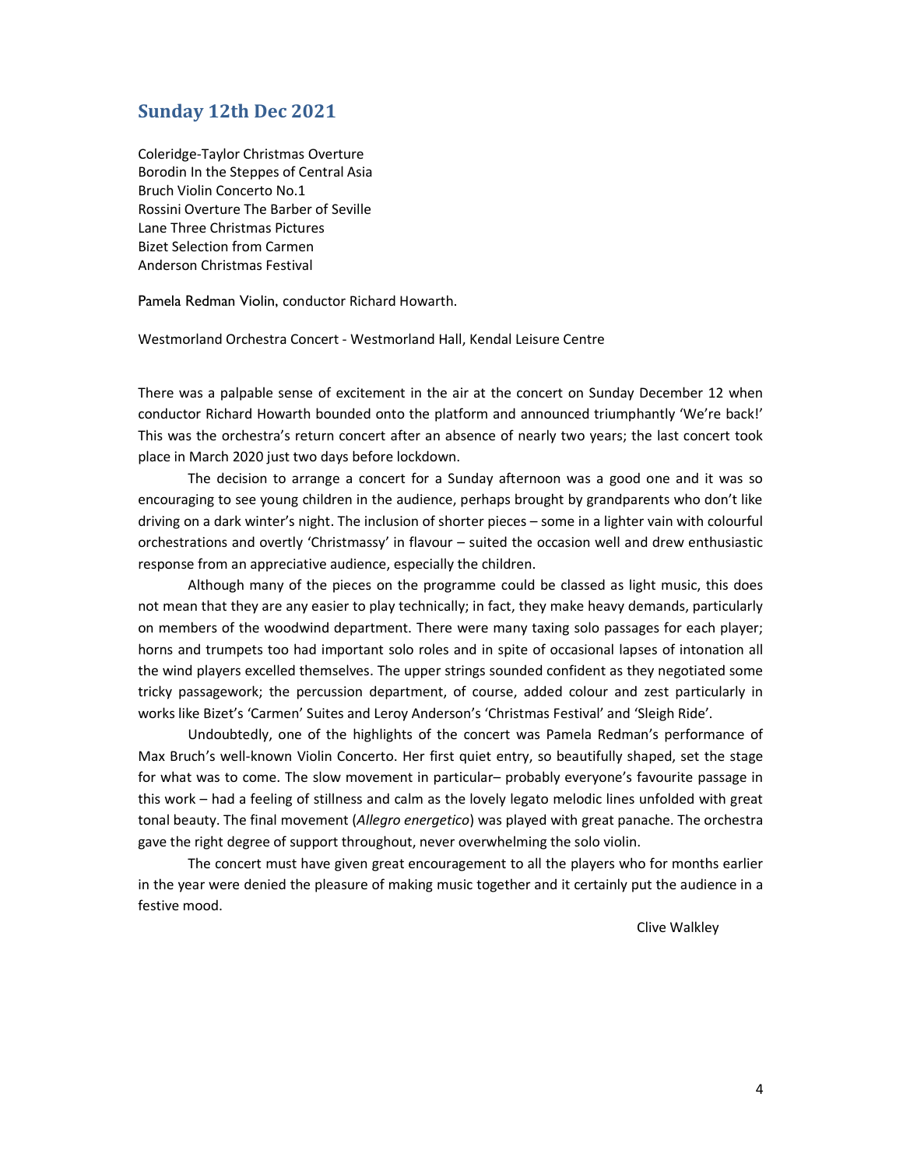#### Sunday 12th Dec 2021

Coleridge-Taylor Christmas Overture Borodin In the Steppes of Central Asia Bruch Violin Concerto No.1 Rossini Overture The Barber of Seville Lane Three Christmas Pictures Bizet Selection from Carmen Anderson Christmas Festival

Pamela Redman Violin, conductor Richard Howarth.

Westmorland Orchestra Concert - Westmorland Hall, Kendal Leisure Centre

There was a palpable sense of excitement in the air at the concert on Sunday December 12 when conductor Richard Howarth bounded onto the platform and announced triumphantly 'We're back!' This was the orchestra's return concert after an absence of nearly two years; the last concert took place in March 2020 just two days before lockdown.

 The decision to arrange a concert for a Sunday afternoon was a good one and it was so encouraging to see young children in the audience, perhaps brought by grandparents who don't like driving on a dark winter's night. The inclusion of shorter pieces – some in a lighter vain with colourful orchestrations and overtly 'Christmassy' in flavour – suited the occasion well and drew enthusiastic response from an appreciative audience, especially the children.

 Although many of the pieces on the programme could be classed as light music, this does not mean that they are any easier to play technically; in fact, they make heavy demands, particularly on members of the woodwind department. There were many taxing solo passages for each player; horns and trumpets too had important solo roles and in spite of occasional lapses of intonation all the wind players excelled themselves. The upper strings sounded confident as they negotiated some tricky passagework; the percussion department, of course, added colour and zest particularly in works like Bizet's 'Carmen' Suites and Leroy Anderson's 'Christmas Festival' and 'Sleigh Ride'.

 Undoubtedly, one of the highlights of the concert was Pamela Redman's performance of Max Bruch's well-known Violin Concerto. Her first quiet entry, so beautifully shaped, set the stage for what was to come. The slow movement in particular– probably everyone's favourite passage in this work – had a feeling of stillness and calm as the lovely legato melodic lines unfolded with great tonal beauty. The final movement (Allegro energetico) was played with great panache. The orchestra gave the right degree of support throughout, never overwhelming the solo violin.

 The concert must have given great encouragement to all the players who for months earlier in the year were denied the pleasure of making music together and it certainly put the audience in a festive mood.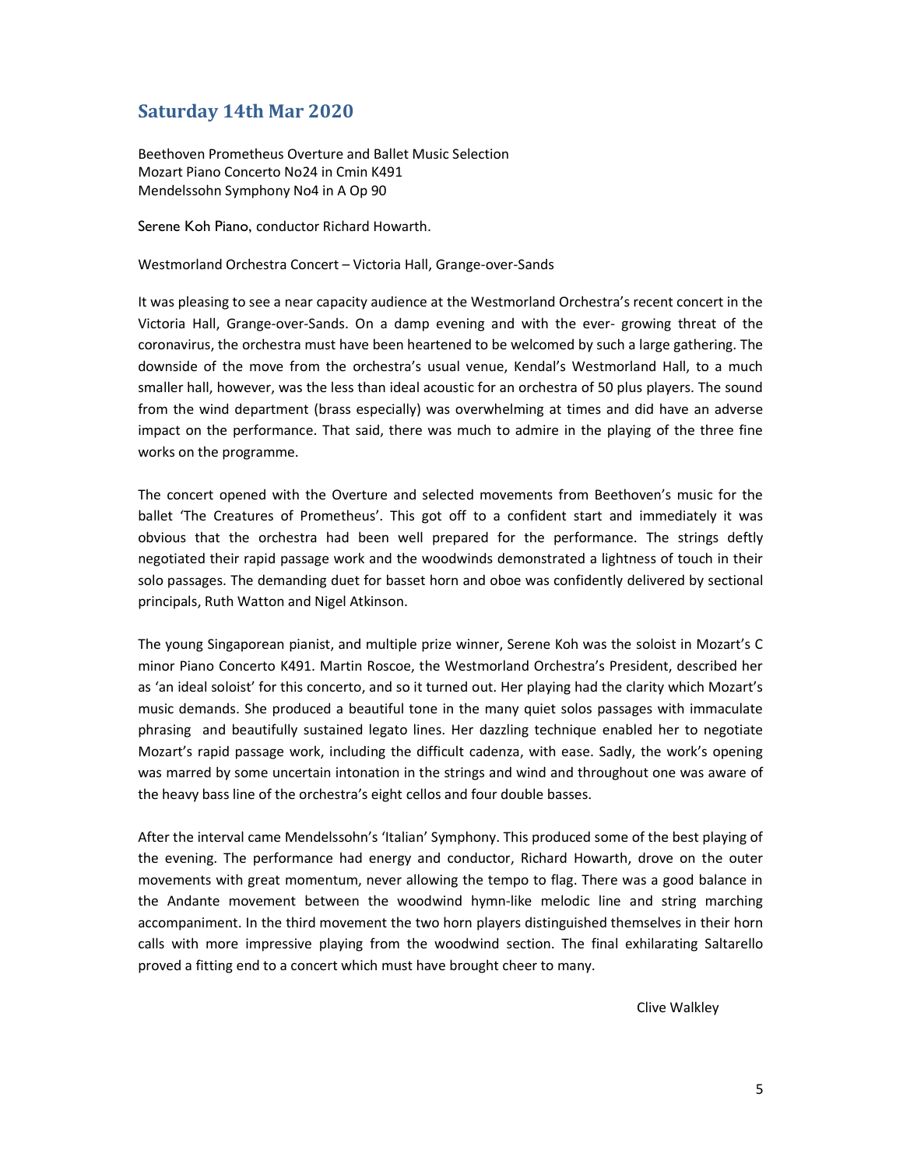#### Saturday 14th Mar 2020

Beethoven Prometheus Overture and Ballet Music Selection Mozart Piano Concerto No24 in Cmin K491 Mendelssohn Symphony No4 in A Op 90

Serene Koh Piano, conductor Richard Howarth.

Westmorland Orchestra Concert – Victoria Hall, Grange-over-Sands

It was pleasing to see a near capacity audience at the Westmorland Orchestra's recent concert in the Victoria Hall, Grange-over-Sands. On a damp evening and with the ever- growing threat of the coronavirus, the orchestra must have been heartened to be welcomed by such a large gathering. The downside of the move from the orchestra's usual venue, Kendal's Westmorland Hall, to a much smaller hall, however, was the less than ideal acoustic for an orchestra of 50 plus players. The sound from the wind department (brass especially) was overwhelming at times and did have an adverse impact on the performance. That said, there was much to admire in the playing of the three fine works on the programme.

The concert opened with the Overture and selected movements from Beethoven's music for the ballet 'The Creatures of Prometheus'. This got off to a confident start and immediately it was obvious that the orchestra had been well prepared for the performance. The strings deftly negotiated their rapid passage work and the woodwinds demonstrated a lightness of touch in their solo passages. The demanding duet for basset horn and oboe was confidently delivered by sectional principals, Ruth Watton and Nigel Atkinson.

The young Singaporean pianist, and multiple prize winner, Serene Koh was the soloist in Mozart's C minor Piano Concerto K491. Martin Roscoe, the Westmorland Orchestra's President, described her as 'an ideal soloist' for this concerto, and so it turned out. Her playing had the clarity which Mozart's music demands. She produced a beautiful tone in the many quiet solos passages with immaculate phrasing and beautifully sustained legato lines. Her dazzling technique enabled her to negotiate Mozart's rapid passage work, including the difficult cadenza, with ease. Sadly, the work's opening was marred by some uncertain intonation in the strings and wind and throughout one was aware of the heavy bass line of the orchestra's eight cellos and four double basses.

After the interval came Mendelssohn's 'Italian' Symphony. This produced some of the best playing of the evening. The performance had energy and conductor, Richard Howarth, drove on the outer movements with great momentum, never allowing the tempo to flag. There was a good balance in the Andante movement between the woodwind hymn-like melodic line and string marching accompaniment. In the third movement the two horn players distinguished themselves in their horn calls with more impressive playing from the woodwind section. The final exhilarating Saltarello proved a fitting end to a concert which must have brought cheer to many.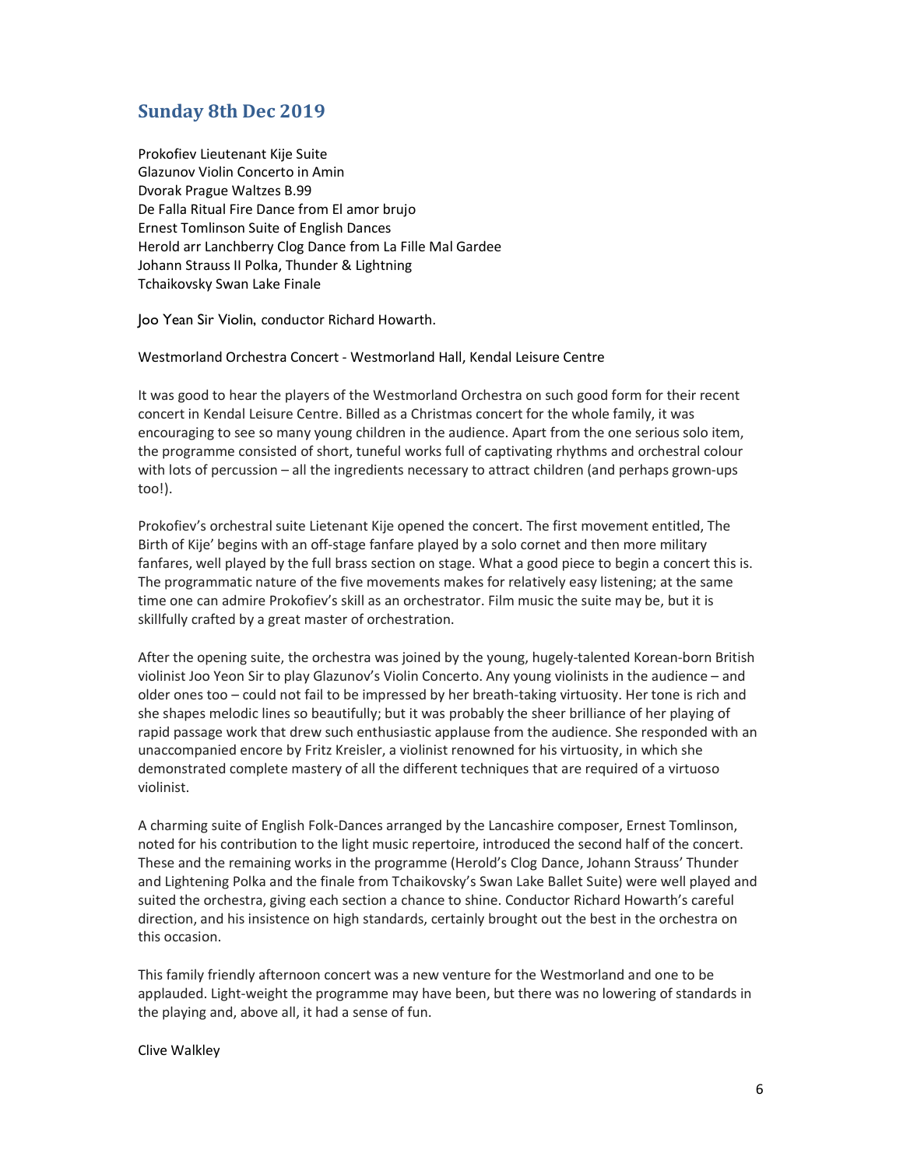#### Sunday 8th Dec 2019

Prokofiev Lieutenant Kije Suite Glazunov Violin Concerto in Amin Dvorak Prague Waltzes B.99 De Falla Ritual Fire Dance from El amor brujo Ernest Tomlinson Suite of English Dances Herold arr Lanchberry Clog Dance from La Fille Mal Gardee Johann Strauss II Polka, Thunder & Lightning Tchaikovsky Swan Lake Finale

Joo Yean Sir Violin, conductor Richard Howarth.

Westmorland Orchestra Concert - Westmorland Hall, Kendal Leisure Centre

It was good to hear the players of the Westmorland Orchestra on such good form for their recent concert in Kendal Leisure Centre. Billed as a Christmas concert for the whole family, it was encouraging to see so many young children in the audience. Apart from the one serious solo item, the programme consisted of short, tuneful works full of captivating rhythms and orchestral colour with lots of percussion – all the ingredients necessary to attract children (and perhaps grown-ups too!).

Prokofiev's orchestral suite Lietenant Kije opened the concert. The first movement entitled, The Birth of Kije' begins with an off-stage fanfare played by a solo cornet and then more military fanfares, well played by the full brass section on stage. What a good piece to begin a concert this is. The programmatic nature of the five movements makes for relatively easy listening; at the same time one can admire Prokofiev's skill as an orchestrator. Film music the suite may be, but it is skillfully crafted by a great master of orchestration.

After the opening suite, the orchestra was joined by the young, hugely-talented Korean-born British violinist Joo Yeon Sir to play Glazunov's Violin Concerto. Any young violinists in the audience – and older ones too – could not fail to be impressed by her breath-taking virtuosity. Her tone is rich and she shapes melodic lines so beautifully; but it was probably the sheer brilliance of her playing of rapid passage work that drew such enthusiastic applause from the audience. She responded with an unaccompanied encore by Fritz Kreisler, a violinist renowned for his virtuosity, in which she demonstrated complete mastery of all the different techniques that are required of a virtuoso violinist.

A charming suite of English Folk-Dances arranged by the Lancashire composer, Ernest Tomlinson, noted for his contribution to the light music repertoire, introduced the second half of the concert. These and the remaining works in the programme (Herold's Clog Dance, Johann Strauss' Thunder and Lightening Polka and the finale from Tchaikovsky's Swan Lake Ballet Suite) were well played and suited the orchestra, giving each section a chance to shine. Conductor Richard Howarth's careful direction, and his insistence on high standards, certainly brought out the best in the orchestra on this occasion.

This family friendly afternoon concert was a new venture for the Westmorland and one to be applauded. Light-weight the programme may have been, but there was no lowering of standards in the playing and, above all, it had a sense of fun.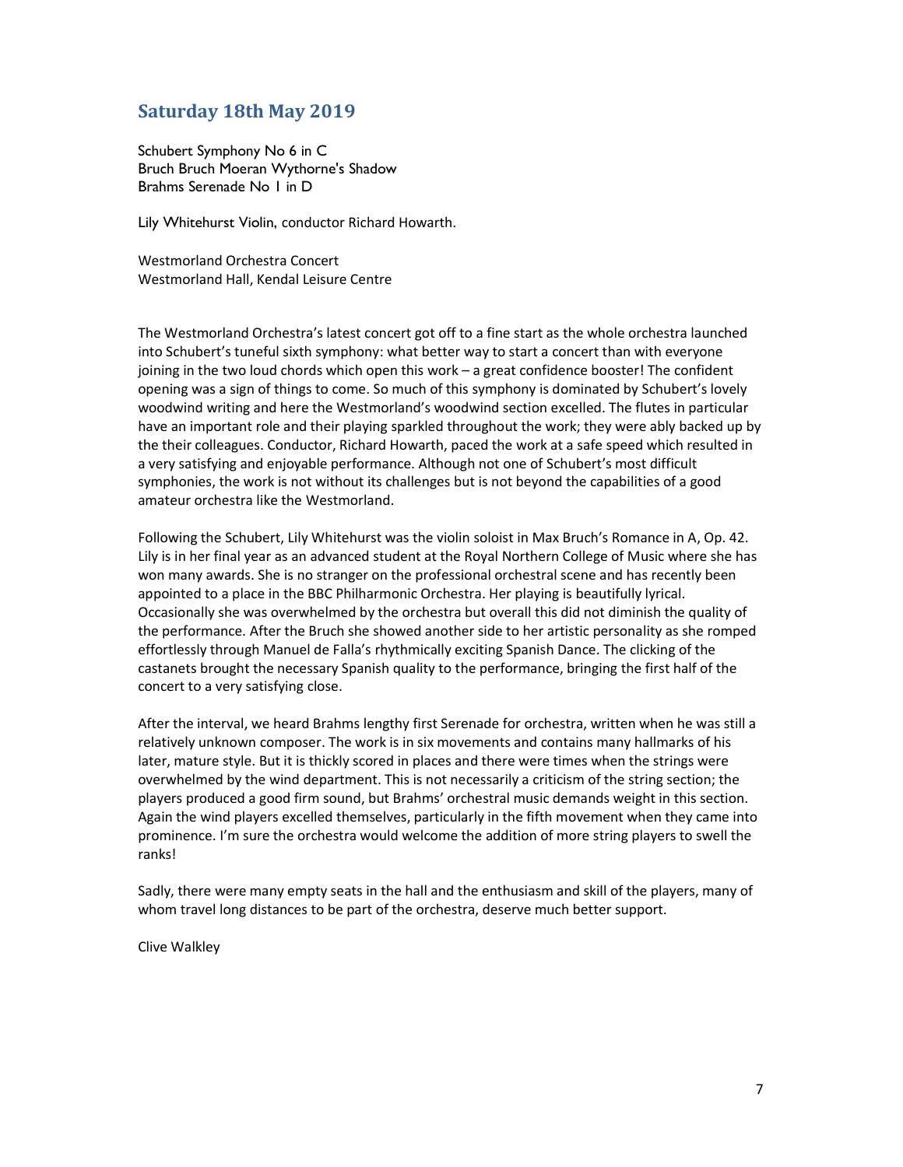#### Saturday 18th May 2019

Schubert Symphony No 6 in C Bruch Bruch Moeran Wythorne's Shadow Brahms Serenade No 1 in D

Lily Whitehurst Violin, conductor Richard Howarth.

Westmorland Orchestra Concert Westmorland Hall, Kendal Leisure Centre

The Westmorland Orchestra's latest concert got off to a fine start as the whole orchestra launched into Schubert's tuneful sixth symphony: what better way to start a concert than with everyone joining in the two loud chords which open this work – a great confidence booster! The confident opening was a sign of things to come. So much of this symphony is dominated by Schubert's lovely woodwind writing and here the Westmorland's woodwind section excelled. The flutes in particular have an important role and their playing sparkled throughout the work; they were ably backed up by the their colleagues. Conductor, Richard Howarth, paced the work at a safe speed which resulted in a very satisfying and enjoyable performance. Although not one of Schubert's most difficult symphonies, the work is not without its challenges but is not beyond the capabilities of a good amateur orchestra like the Westmorland.

Following the Schubert, Lily Whitehurst was the violin soloist in Max Bruch's Romance in A, Op. 42. Lily is in her final year as an advanced student at the Royal Northern College of Music where she has won many awards. She is no stranger on the professional orchestral scene and has recently been appointed to a place in the BBC Philharmonic Orchestra. Her playing is beautifully lyrical. Occasionally she was overwhelmed by the orchestra but overall this did not diminish the quality of the performance. After the Bruch she showed another side to her artistic personality as she romped effortlessly through Manuel de Falla's rhythmically exciting Spanish Dance. The clicking of the castanets brought the necessary Spanish quality to the performance, bringing the first half of the concert to a very satisfying close.

After the interval, we heard Brahms lengthy first Serenade for orchestra, written when he was still a relatively unknown composer. The work is in six movements and contains many hallmarks of his later, mature style. But it is thickly scored in places and there were times when the strings were overwhelmed by the wind department. This is not necessarily a criticism of the string section; the players produced a good firm sound, but Brahms' orchestral music demands weight in this section. Again the wind players excelled themselves, particularly in the fifth movement when they came into prominence. I'm sure the orchestra would welcome the addition of more string players to swell the ranks!

Sadly, there were many empty seats in the hall and the enthusiasm and skill of the players, many of whom travel long distances to be part of the orchestra, deserve much better support.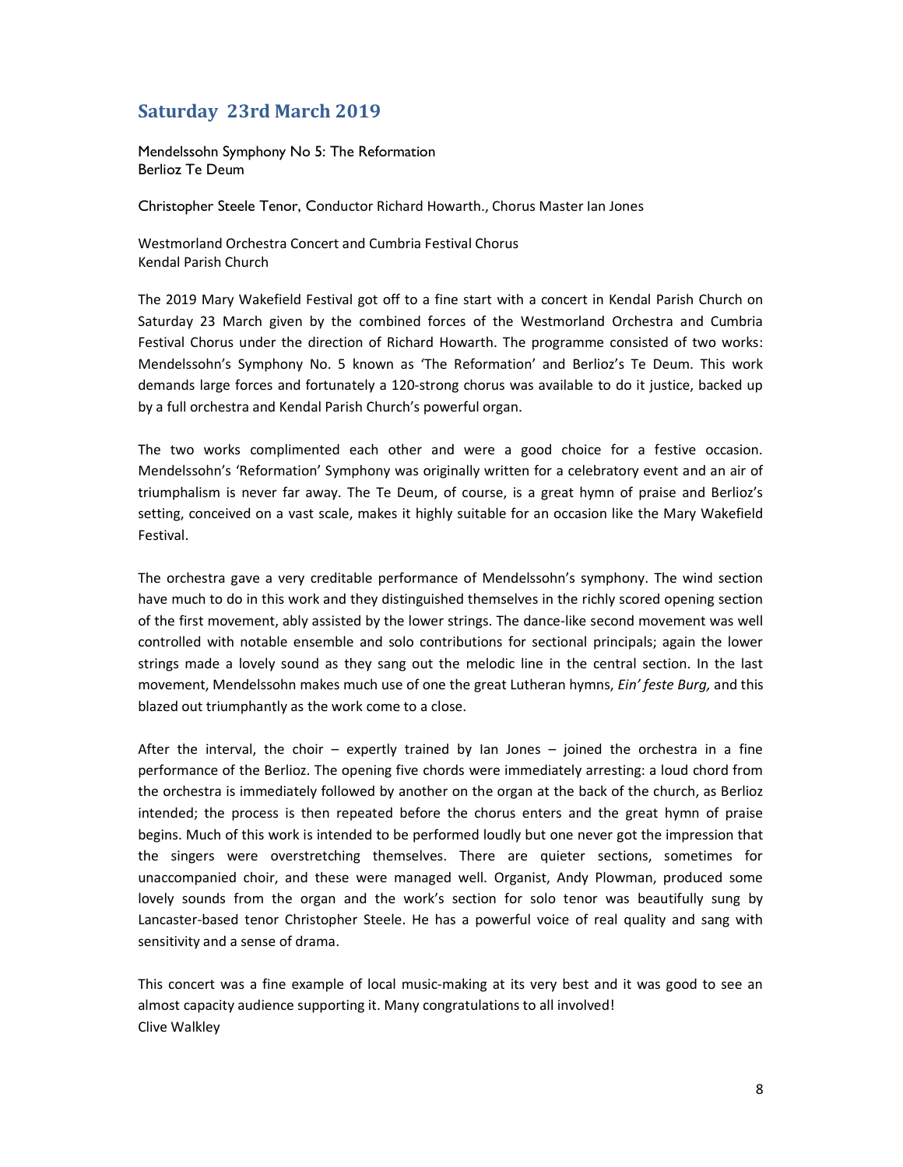# Saturday 23rd March 2019

Mendelssohn Symphony No 5: The Reformation Berlioz Te Deum

Christopher Steele Tenor, Conductor Richard Howarth., Chorus Master Ian Jones

Westmorland Orchestra Concert and Cumbria Festival Chorus Kendal Parish Church

The 2019 Mary Wakefield Festival got off to a fine start with a concert in Kendal Parish Church on Saturday 23 March given by the combined forces of the Westmorland Orchestra and Cumbria Festival Chorus under the direction of Richard Howarth. The programme consisted of two works: Mendelssohn's Symphony No. 5 known as 'The Reformation' and Berlioz's Te Deum. This work demands large forces and fortunately a 120-strong chorus was available to do it justice, backed up by a full orchestra and Kendal Parish Church's powerful organ.

The two works complimented each other and were a good choice for a festive occasion. Mendelssohn's 'Reformation' Symphony was originally written for a celebratory event and an air of triumphalism is never far away. The Te Deum, of course, is a great hymn of praise and Berlioz's setting, conceived on a vast scale, makes it highly suitable for an occasion like the Mary Wakefield Festival.

The orchestra gave a very creditable performance of Mendelssohn's symphony. The wind section have much to do in this work and they distinguished themselves in the richly scored opening section of the first movement, ably assisted by the lower strings. The dance-like second movement was well controlled with notable ensemble and solo contributions for sectional principals; again the lower strings made a lovely sound as they sang out the melodic line in the central section. In the last movement, Mendelssohn makes much use of one the great Lutheran hymns, *Ein' feste Burg*, and this blazed out triumphantly as the work come to a close.

After the interval, the choir – expertly trained by Ian Jones – joined the orchestra in a fine performance of the Berlioz. The opening five chords were immediately arresting: a loud chord from the orchestra is immediately followed by another on the organ at the back of the church, as Berlioz intended; the process is then repeated before the chorus enters and the great hymn of praise begins. Much of this work is intended to be performed loudly but one never got the impression that the singers were overstretching themselves. There are quieter sections, sometimes for unaccompanied choir, and these were managed well. Organist, Andy Plowman, produced some lovely sounds from the organ and the work's section for solo tenor was beautifully sung by Lancaster-based tenor Christopher Steele. He has a powerful voice of real quality and sang with sensitivity and a sense of drama.

This concert was a fine example of local music-making at its very best and it was good to see an almost capacity audience supporting it. Many congratulations to all involved! Clive Walkley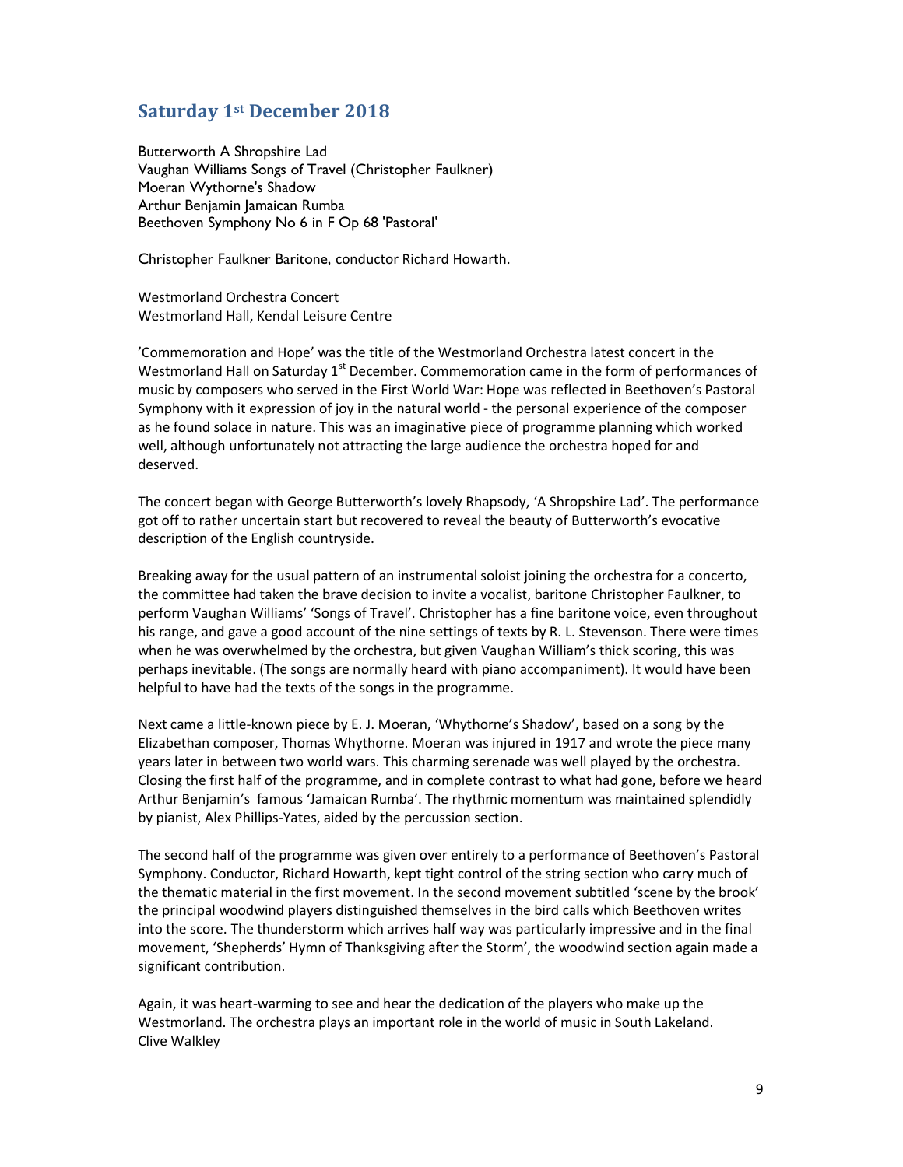#### Saturday 1st December 2018

Butterworth A Shropshire Lad Vaughan Williams Songs of Travel (Christopher Faulkner) Moeran Wythorne's Shadow Arthur Benjamin Jamaican Rumba Beethoven Symphony No 6 in F Op 68 'Pastoral'

Christopher Faulkner Baritone, conductor Richard Howarth.

Westmorland Orchestra Concert Westmorland Hall, Kendal Leisure Centre

'Commemoration and Hope' was the title of the Westmorland Orchestra latest concert in the Westmorland Hall on Saturday 1<sup>st</sup> December. Commemoration came in the form of performances of music by composers who served in the First World War: Hope was reflected in Beethoven's Pastoral Symphony with it expression of joy in the natural world - the personal experience of the composer as he found solace in nature. This was an imaginative piece of programme planning which worked well, although unfortunately not attracting the large audience the orchestra hoped for and deserved.

The concert began with George Butterworth's lovely Rhapsody, 'A Shropshire Lad'. The performance got off to rather uncertain start but recovered to reveal the beauty of Butterworth's evocative description of the English countryside.

Breaking away for the usual pattern of an instrumental soloist joining the orchestra for a concerto, the committee had taken the brave decision to invite a vocalist, baritone Christopher Faulkner, to perform Vaughan Williams' 'Songs of Travel'. Christopher has a fine baritone voice, even throughout his range, and gave a good account of the nine settings of texts by R. L. Stevenson. There were times when he was overwhelmed by the orchestra, but given Vaughan William's thick scoring, this was perhaps inevitable. (The songs are normally heard with piano accompaniment). It would have been helpful to have had the texts of the songs in the programme.

Next came a little-known piece by E. J. Moeran, 'Whythorne's Shadow', based on a song by the Elizabethan composer, Thomas Whythorne. Moeran was injured in 1917 and wrote the piece many years later in between two world wars. This charming serenade was well played by the orchestra. Closing the first half of the programme, and in complete contrast to what had gone, before we heard Arthur Benjamin's famous 'Jamaican Rumba'. The rhythmic momentum was maintained splendidly by pianist, Alex Phillips-Yates, aided by the percussion section.

The second half of the programme was given over entirely to a performance of Beethoven's Pastoral Symphony. Conductor, Richard Howarth, kept tight control of the string section who carry much of the thematic material in the first movement. In the second movement subtitled 'scene by the brook' the principal woodwind players distinguished themselves in the bird calls which Beethoven writes into the score. The thunderstorm which arrives half way was particularly impressive and in the final movement, 'Shepherds' Hymn of Thanksgiving after the Storm', the woodwind section again made a significant contribution.

Again, it was heart-warming to see and hear the dedication of the players who make up the Westmorland. The orchestra plays an important role in the world of music in South Lakeland. Clive Walkley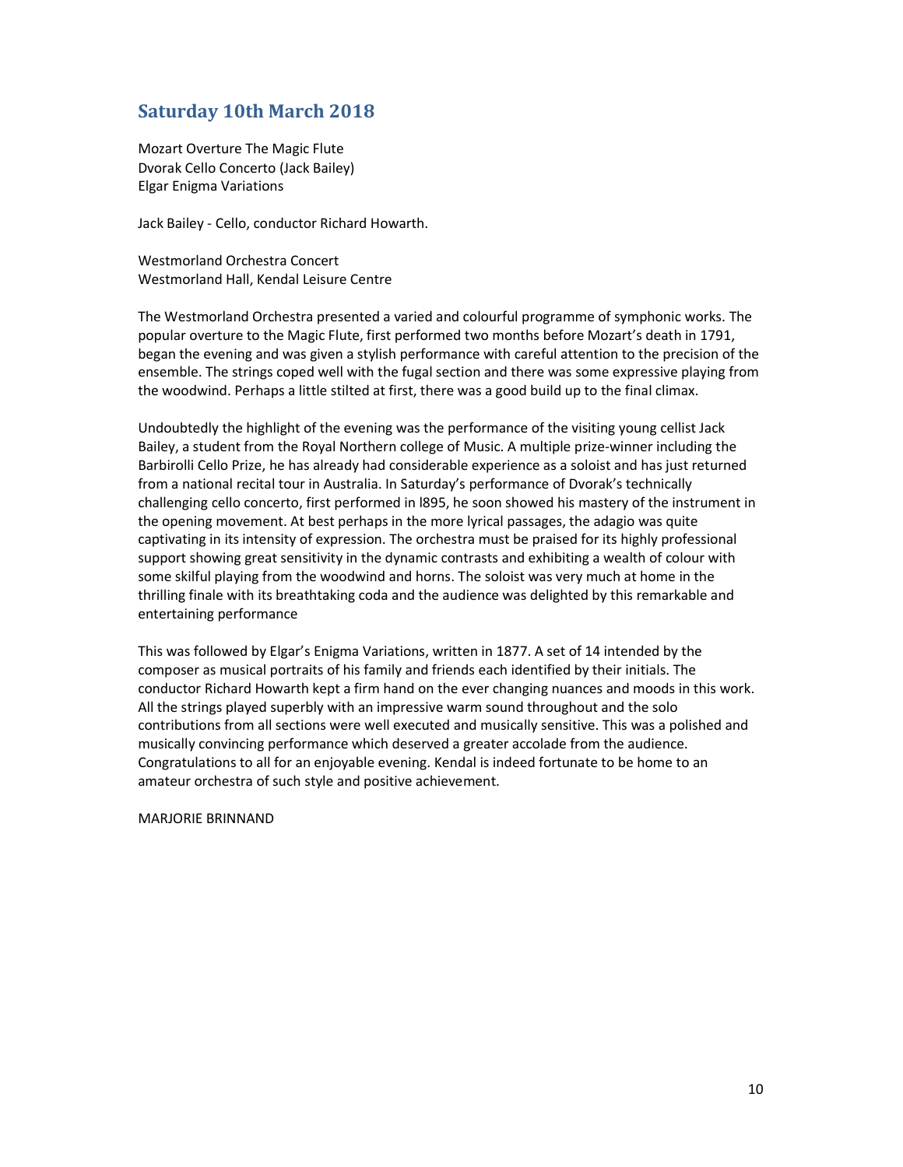### Saturday 10th March 2018

Mozart Overture The Magic Flute Dvorak Cello Concerto (Jack Bailey) Elgar Enigma Variations

Jack Bailey - Cello, conductor Richard Howarth.

Westmorland Orchestra Concert Westmorland Hall, Kendal Leisure Centre

The Westmorland Orchestra presented a varied and colourful programme of symphonic works. The popular overture to the Magic Flute, first performed two months before Mozart's death in 1791, began the evening and was given a stylish performance with careful attention to the precision of the ensemble. The strings coped well with the fugal section and there was some expressive playing from the woodwind. Perhaps a little stilted at first, there was a good build up to the final climax.

Undoubtedly the highlight of the evening was the performance of the visiting young cellist Jack Bailey, a student from the Royal Northern college of Music. A multiple prize-winner including the Barbirolli Cello Prize, he has already had considerable experience as a soloist and has just returned from a national recital tour in Australia. In Saturday's performance of Dvorak's technically challenging cello concerto, first performed in l895, he soon showed his mastery of the instrument in the opening movement. At best perhaps in the more lyrical passages, the adagio was quite captivating in its intensity of expression. The orchestra must be praised for its highly professional support showing great sensitivity in the dynamic contrasts and exhibiting a wealth of colour with some skilful playing from the woodwind and horns. The soloist was very much at home in the thrilling finale with its breathtaking coda and the audience was delighted by this remarkable and entertaining performance

This was followed by Elgar's Enigma Variations, written in 1877. A set of 14 intended by the composer as musical portraits of his family and friends each identified by their initials. The conductor Richard Howarth kept a firm hand on the ever changing nuances and moods in this work. All the strings played superbly with an impressive warm sound throughout and the solo contributions from all sections were well executed and musically sensitive. This was a polished and musically convincing performance which deserved a greater accolade from the audience. Congratulations to all for an enjoyable evening. Kendal is indeed fortunate to be home to an amateur orchestra of such style and positive achievement.

MARJORIE BRINNAND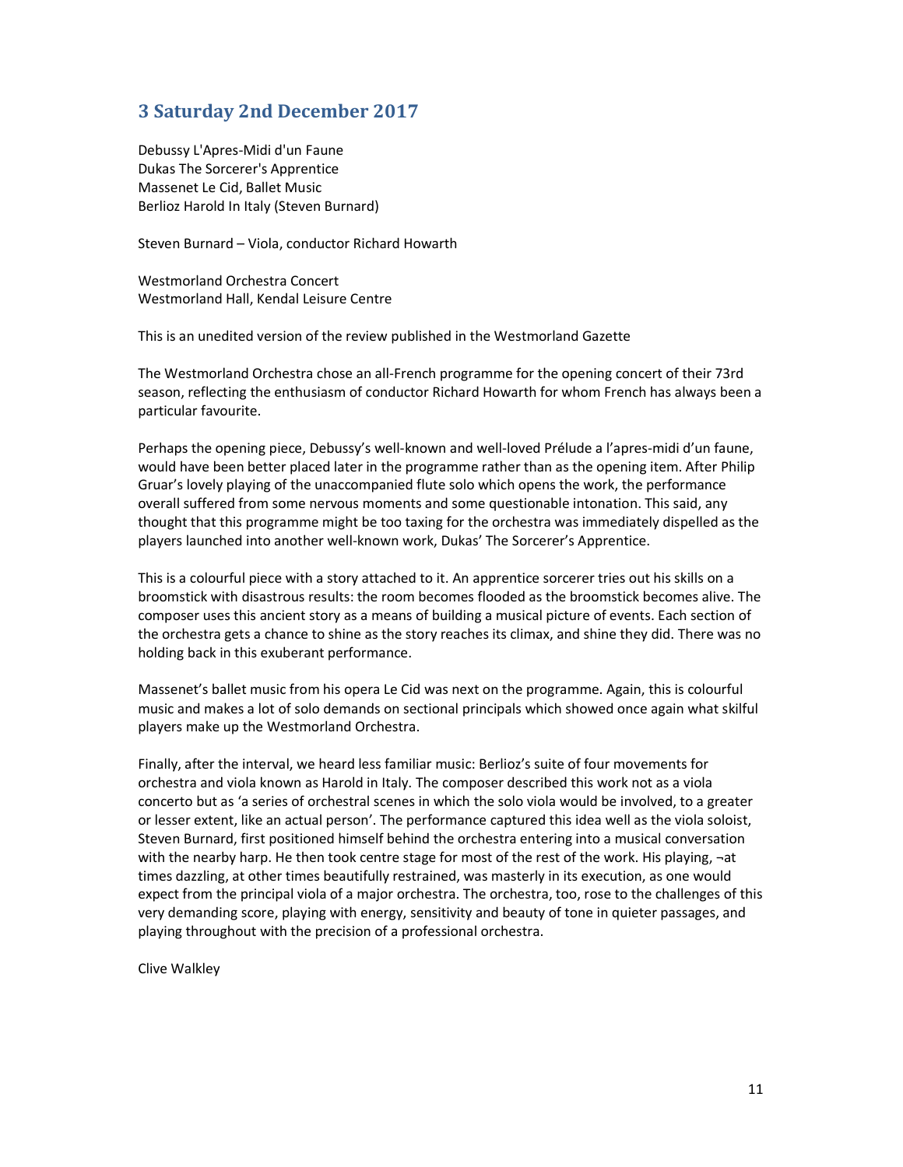# 3 Saturday 2nd December 2017

Debussy L'Apres-Midi d'un Faune Dukas The Sorcerer's Apprentice Massenet Le Cid, Ballet Music Berlioz Harold In Italy (Steven Burnard)

Steven Burnard – Viola, conductor Richard Howarth

Westmorland Orchestra Concert Westmorland Hall, Kendal Leisure Centre

This is an unedited version of the review published in the Westmorland Gazette

The Westmorland Orchestra chose an all-French programme for the opening concert of their 73rd season, reflecting the enthusiasm of conductor Richard Howarth for whom French has always been a particular favourite.

Perhaps the opening piece, Debussy's well-known and well-loved Prélude a l'apres-midi d'un faune, would have been better placed later in the programme rather than as the opening item. After Philip Gruar's lovely playing of the unaccompanied flute solo which opens the work, the performance overall suffered from some nervous moments and some questionable intonation. This said, any thought that this programme might be too taxing for the orchestra was immediately dispelled as the players launched into another well-known work, Dukas' The Sorcerer's Apprentice.

This is a colourful piece with a story attached to it. An apprentice sorcerer tries out his skills on a broomstick with disastrous results: the room becomes flooded as the broomstick becomes alive. The composer uses this ancient story as a means of building a musical picture of events. Each section of the orchestra gets a chance to shine as the story reaches its climax, and shine they did. There was no holding back in this exuberant performance.

Massenet's ballet music from his opera Le Cid was next on the programme. Again, this is colourful music and makes a lot of solo demands on sectional principals which showed once again what skilful players make up the Westmorland Orchestra.

Finally, after the interval, we heard less familiar music: Berlioz's suite of four movements for orchestra and viola known as Harold in Italy. The composer described this work not as a viola concerto but as 'a series of orchestral scenes in which the solo viola would be involved, to a greater or lesser extent, like an actual person'. The performance captured this idea well as the viola soloist, Steven Burnard, first positioned himself behind the orchestra entering into a musical conversation with the nearby harp. He then took centre stage for most of the rest of the work. His playing, ¬at times dazzling, at other times beautifully restrained, was masterly in its execution, as one would expect from the principal viola of a major orchestra. The orchestra, too, rose to the challenges of this very demanding score, playing with energy, sensitivity and beauty of tone in quieter passages, and playing throughout with the precision of a professional orchestra.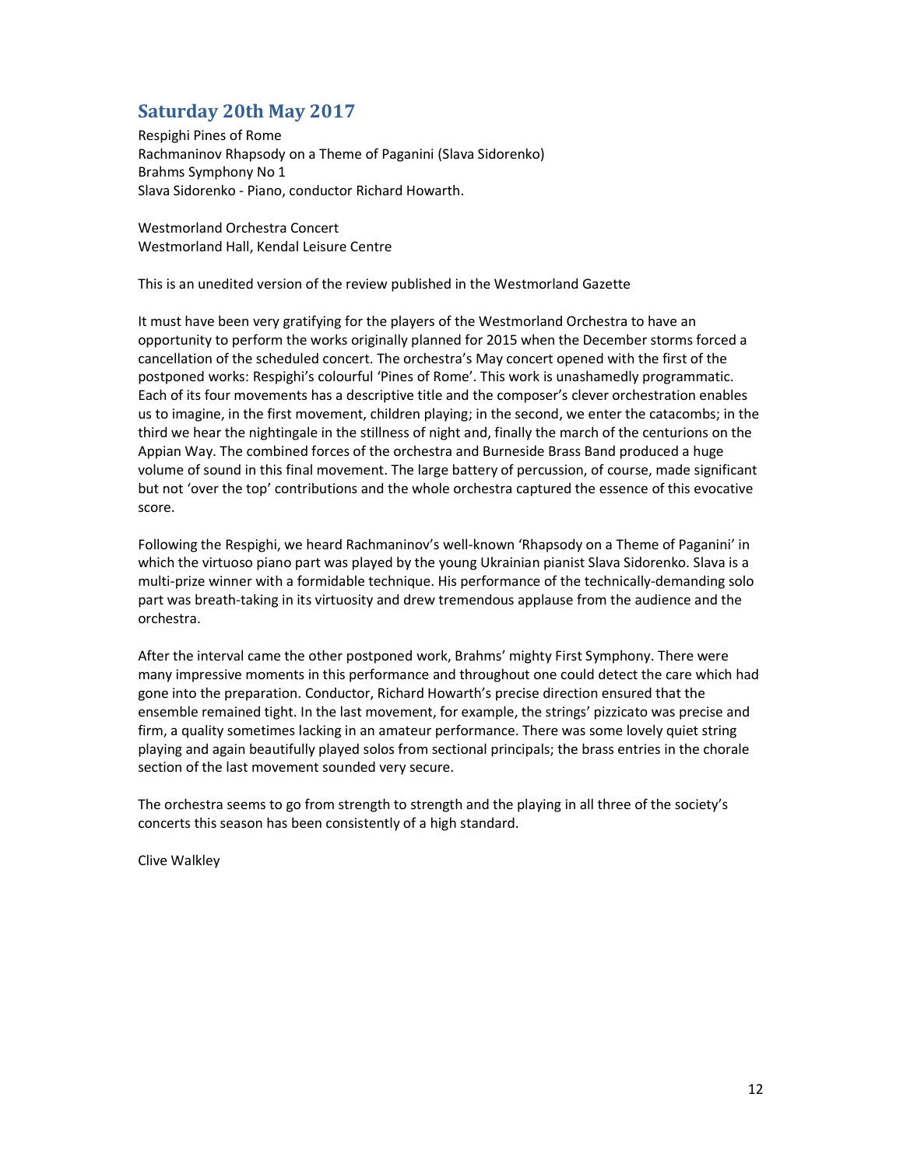# Saturday 20th May 2017

Respighi Pines of Rome Rachmaninov Rhapsody on a Theme of Paganini (Slava Sidorenko) Brahms Symphony No 1 Slava Sidorenko - Piano, conductor Richard Howarth.

Westmorland Orchestra Concert Westmorland Hall, Kendal Leisure Centre

This is an unedited version of the review published in the Westmorland Gazette

It must have been very gratifying for the players of the Westmorland Orchestra to have an opportunity to perform the works originally planned for 2015 when the December storms forced a cancellation of the scheduled concert. The orchestra's May concert opened with the first of the postponed works: Respighi's colourful 'Pines of Rome'. This work is unashamedly programmatic. Each of its four movements has a descriptive title and the composer's clever orchestration enables us to imagine, in the first movement, children playing; in the second, we enter the catacombs; in the third we hear the nightingale in the stillness of night and, finally the march of the centurions on the Appian Way. The combined forces of the orchestra and Burneside Brass Band produced a huge volume of sound in this final movement. The large battery of percussion, of course, made significant but not 'over the top' contributions and the whole orchestra captured the essence of this evocative score.

Following the Respighi, we heard Rachmaninov's well-known 'Rhapsody on a Theme of Paganini' in which the virtuoso piano part was played by the young Ukrainian pianist Slava Sidorenko. Slava is a multi-prize winner with a formidable technique. His performance of the technically-demanding solo part was breath-taking in its virtuosity and drew tremendous applause from the audience and the orchestra.

After the interval came the other postponed work, Brahms' mighty First Symphony. There were many impressive moments in this performance and throughout one could detect the care which had gone into the preparation. Conductor, Richard Howarth's precise direction ensured that the ensemble remained tight. In the last movement, for example, the strings' pizzicato was precise and firm, a quality sometimes lacking in an amateur performance. There was some lovely quiet string playing and again beautifully played solos from sectional principals; the brass entries in the chorale section of the last movement sounded very secure.

The orchestra seems to go from strength to strength and the playing in all three of the society's concerts this season has been consistently of a high standard.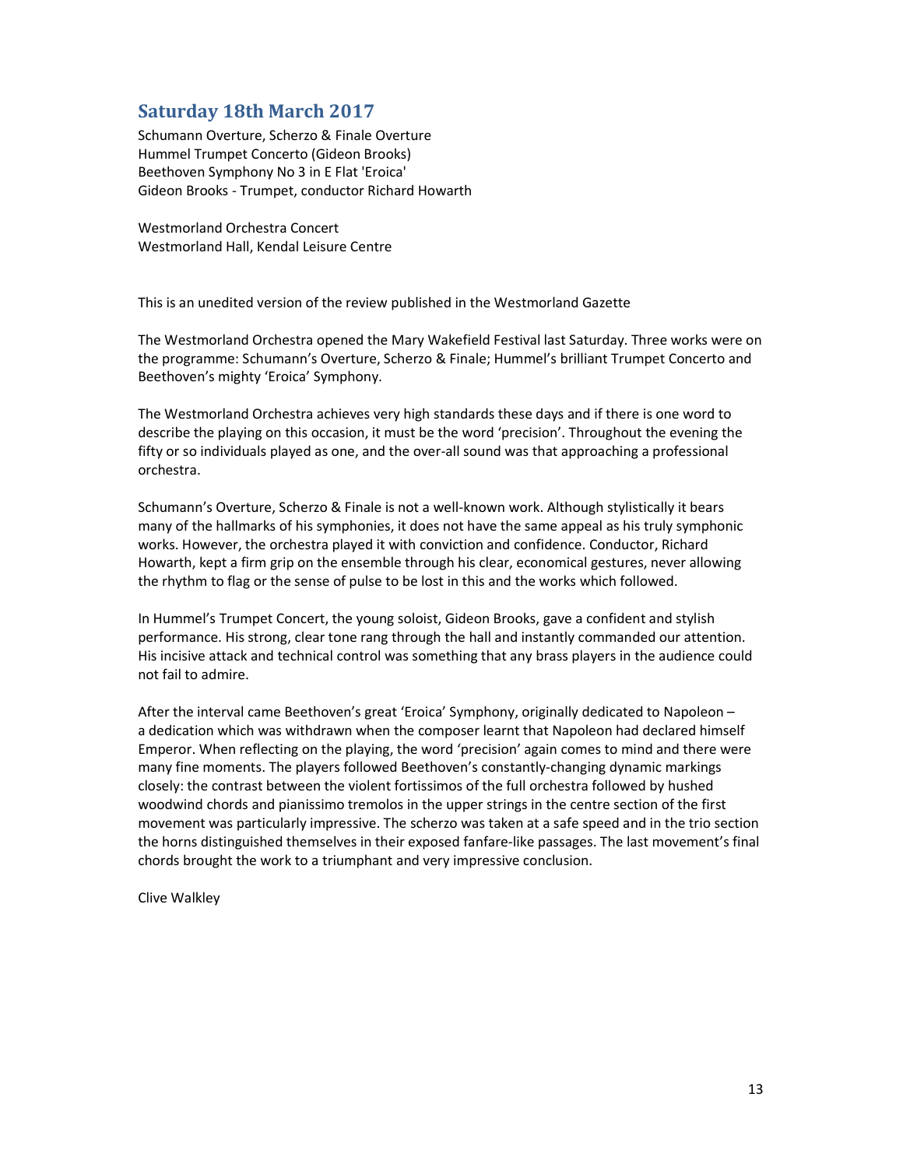# Saturday 18th March 2017

Schumann Overture, Scherzo & Finale Overture Hummel Trumpet Concerto (Gideon Brooks) Beethoven Symphony No 3 in E Flat 'Eroica' Gideon Brooks - Trumpet, conductor Richard Howarth

Westmorland Orchestra Concert Westmorland Hall, Kendal Leisure Centre

This is an unedited version of the review published in the Westmorland Gazette

The Westmorland Orchestra opened the Mary Wakefield Festival last Saturday. Three works were on the programme: Schumann's Overture, Scherzo & Finale; Hummel's brilliant Trumpet Concerto and Beethoven's mighty 'Eroica' Symphony.

The Westmorland Orchestra achieves very high standards these days and if there is one word to describe the playing on this occasion, it must be the word 'precision'. Throughout the evening the fifty or so individuals played as one, and the over-all sound was that approaching a professional orchestra.

Schumann's Overture, Scherzo & Finale is not a well-known work. Although stylistically it bears many of the hallmarks of his symphonies, it does not have the same appeal as his truly symphonic works. However, the orchestra played it with conviction and confidence. Conductor, Richard Howarth, kept a firm grip on the ensemble through his clear, economical gestures, never allowing the rhythm to flag or the sense of pulse to be lost in this and the works which followed.

In Hummel's Trumpet Concert, the young soloist, Gideon Brooks, gave a confident and stylish performance. His strong, clear tone rang through the hall and instantly commanded our attention. His incisive attack and technical control was something that any brass players in the audience could not fail to admire.

After the interval came Beethoven's great 'Eroica' Symphony, originally dedicated to Napoleon – a dedication which was withdrawn when the composer learnt that Napoleon had declared himself Emperor. When reflecting on the playing, the word 'precision' again comes to mind and there were many fine moments. The players followed Beethoven's constantly-changing dynamic markings closely: the contrast between the violent fortissimos of the full orchestra followed by hushed woodwind chords and pianissimo tremolos in the upper strings in the centre section of the first movement was particularly impressive. The scherzo was taken at a safe speed and in the trio section the horns distinguished themselves in their exposed fanfare-like passages. The last movement's final chords brought the work to a triumphant and very impressive conclusion.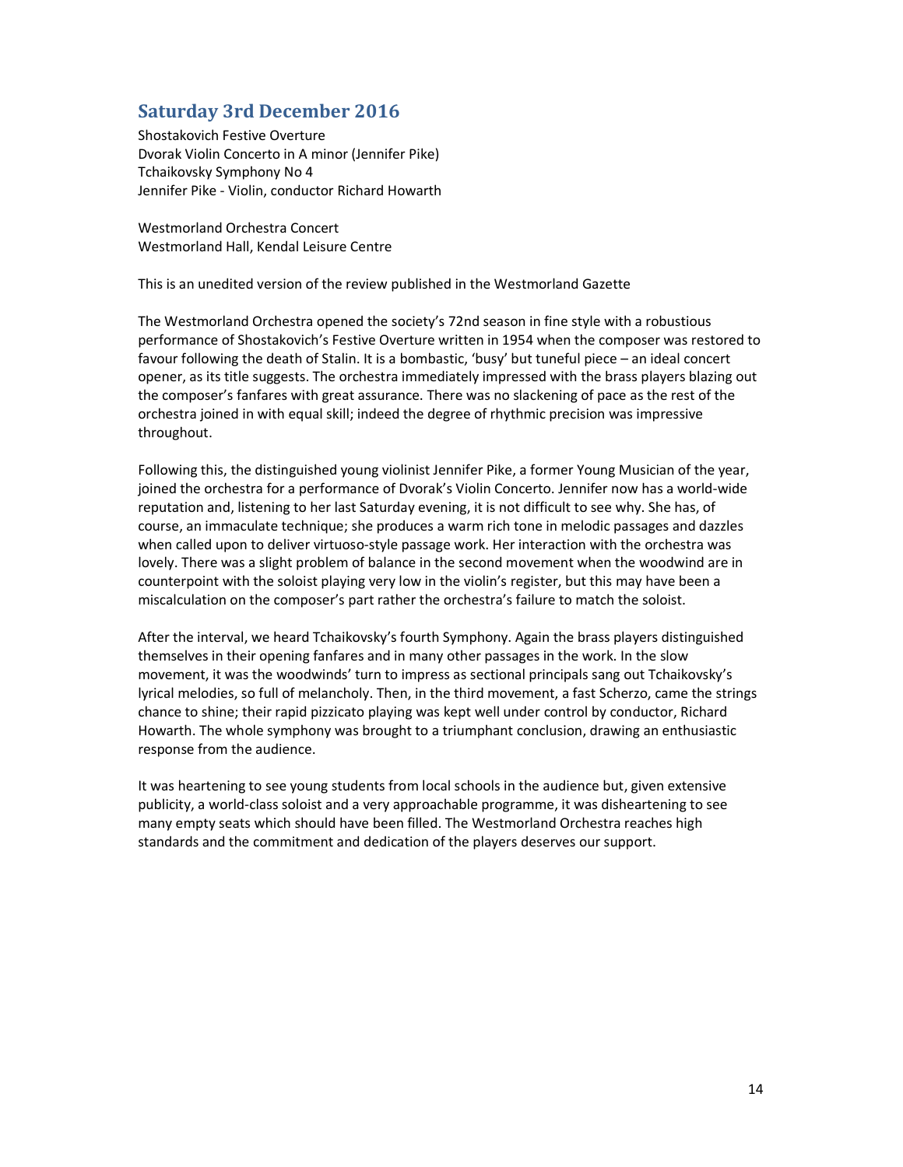## Saturday 3rd December 2016

Shostakovich Festive Overture Dvorak Violin Concerto in A minor (Jennifer Pike) Tchaikovsky Symphony No 4 Jennifer Pike - Violin, conductor Richard Howarth

Westmorland Orchestra Concert Westmorland Hall, Kendal Leisure Centre

This is an unedited version of the review published in the Westmorland Gazette

The Westmorland Orchestra opened the society's 72nd season in fine style with a robustious performance of Shostakovich's Festive Overture written in 1954 when the composer was restored to favour following the death of Stalin. It is a bombastic, 'busy' but tuneful piece – an ideal concert opener, as its title suggests. The orchestra immediately impressed with the brass players blazing out the composer's fanfares with great assurance. There was no slackening of pace as the rest of the orchestra joined in with equal skill; indeed the degree of rhythmic precision was impressive throughout.

Following this, the distinguished young violinist Jennifer Pike, a former Young Musician of the year, joined the orchestra for a performance of Dvorak's Violin Concerto. Jennifer now has a world-wide reputation and, listening to her last Saturday evening, it is not difficult to see why. She has, of course, an immaculate technique; she produces a warm rich tone in melodic passages and dazzles when called upon to deliver virtuoso-style passage work. Her interaction with the orchestra was lovely. There was a slight problem of balance in the second movement when the woodwind are in counterpoint with the soloist playing very low in the violin's register, but this may have been a miscalculation on the composer's part rather the orchestra's failure to match the soloist.

After the interval, we heard Tchaikovsky's fourth Symphony. Again the brass players distinguished themselves in their opening fanfares and in many other passages in the work. In the slow movement, it was the woodwinds' turn to impress as sectional principals sang out Tchaikovsky's lyrical melodies, so full of melancholy. Then, in the third movement, a fast Scherzo, came the strings chance to shine; their rapid pizzicato playing was kept well under control by conductor, Richard Howarth. The whole symphony was brought to a triumphant conclusion, drawing an enthusiastic response from the audience.

It was heartening to see young students from local schools in the audience but, given extensive publicity, a world-class soloist and a very approachable programme, it was disheartening to see many empty seats which should have been filled. The Westmorland Orchestra reaches high standards and the commitment and dedication of the players deserves our support.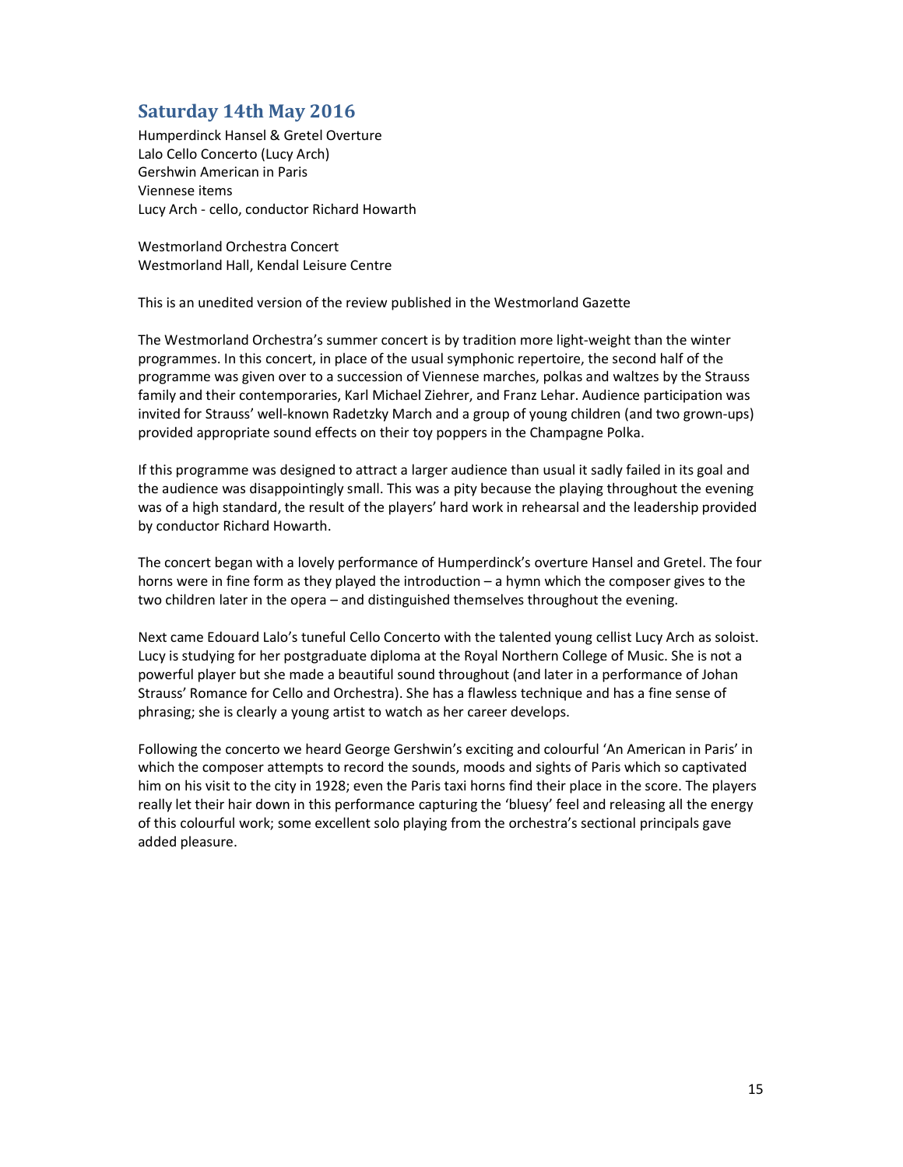# Saturday 14th May 2016

Humperdinck Hansel & Gretel Overture Lalo Cello Concerto (Lucy Arch) Gershwin American in Paris Viennese items Lucy Arch - cello, conductor Richard Howarth

Westmorland Orchestra Concert Westmorland Hall, Kendal Leisure Centre

This is an unedited version of the review published in the Westmorland Gazette

The Westmorland Orchestra's summer concert is by tradition more light-weight than the winter programmes. In this concert, in place of the usual symphonic repertoire, the second half of the programme was given over to a succession of Viennese marches, polkas and waltzes by the Strauss family and their contemporaries, Karl Michael Ziehrer, and Franz Lehar. Audience participation was invited for Strauss' well-known Radetzky March and a group of young children (and two grown-ups) provided appropriate sound effects on their toy poppers in the Champagne Polka.

If this programme was designed to attract a larger audience than usual it sadly failed in its goal and the audience was disappointingly small. This was a pity because the playing throughout the evening was of a high standard, the result of the players' hard work in rehearsal and the leadership provided by conductor Richard Howarth.

The concert began with a lovely performance of Humperdinck's overture Hansel and Gretel. The four horns were in fine form as they played the introduction – a hymn which the composer gives to the two children later in the opera – and distinguished themselves throughout the evening.

Next came Edouard Lalo's tuneful Cello Concerto with the talented young cellist Lucy Arch as soloist. Lucy is studying for her postgraduate diploma at the Royal Northern College of Music. She is not a powerful player but she made a beautiful sound throughout (and later in a performance of Johan Strauss' Romance for Cello and Orchestra). She has a flawless technique and has a fine sense of phrasing; she is clearly a young artist to watch as her career develops.

Following the concerto we heard George Gershwin's exciting and colourful 'An American in Paris' in which the composer attempts to record the sounds, moods and sights of Paris which so captivated him on his visit to the city in 1928; even the Paris taxi horns find their place in the score. The players really let their hair down in this performance capturing the 'bluesy' feel and releasing all the energy of this colourful work; some excellent solo playing from the orchestra's sectional principals gave added pleasure.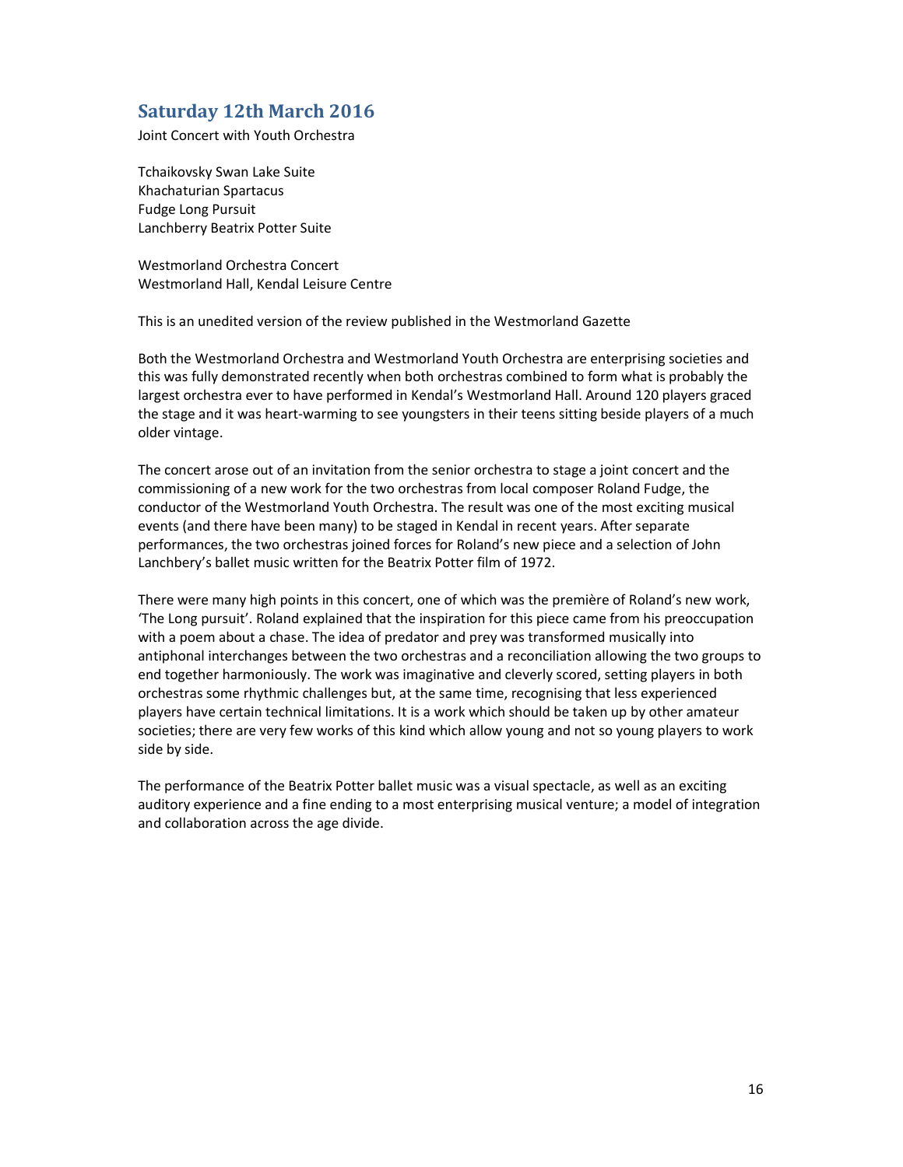#### Saturday 12th March 2016

Joint Concert with Youth Orchestra

Tchaikovsky Swan Lake Suite Khachaturian Spartacus Fudge Long Pursuit Lanchberry Beatrix Potter Suite

Westmorland Orchestra Concert Westmorland Hall, Kendal Leisure Centre

This is an unedited version of the review published in the Westmorland Gazette

Both the Westmorland Orchestra and Westmorland Youth Orchestra are enterprising societies and this was fully demonstrated recently when both orchestras combined to form what is probably the largest orchestra ever to have performed in Kendal's Westmorland Hall. Around 120 players graced the stage and it was heart-warming to see youngsters in their teens sitting beside players of a much older vintage.

The concert arose out of an invitation from the senior orchestra to stage a joint concert and the commissioning of a new work for the two orchestras from local composer Roland Fudge, the conductor of the Westmorland Youth Orchestra. The result was one of the most exciting musical events (and there have been many) to be staged in Kendal in recent years. After separate performances, the two orchestras joined forces for Roland's new piece and a selection of John Lanchbery's ballet music written for the Beatrix Potter film of 1972.

There were many high points in this concert, one of which was the première of Roland's new work, 'The Long pursuit'. Roland explained that the inspiration for this piece came from his preoccupation with a poem about a chase. The idea of predator and prey was transformed musically into antiphonal interchanges between the two orchestras and a reconciliation allowing the two groups to end together harmoniously. The work was imaginative and cleverly scored, setting players in both orchestras some rhythmic challenges but, at the same time, recognising that less experienced players have certain technical limitations. It is a work which should be taken up by other amateur societies; there are very few works of this kind which allow young and not so young players to work side by side.

The performance of the Beatrix Potter ballet music was a visual spectacle, as well as an exciting auditory experience and a fine ending to a most enterprising musical venture; a model of integration and collaboration across the age divide.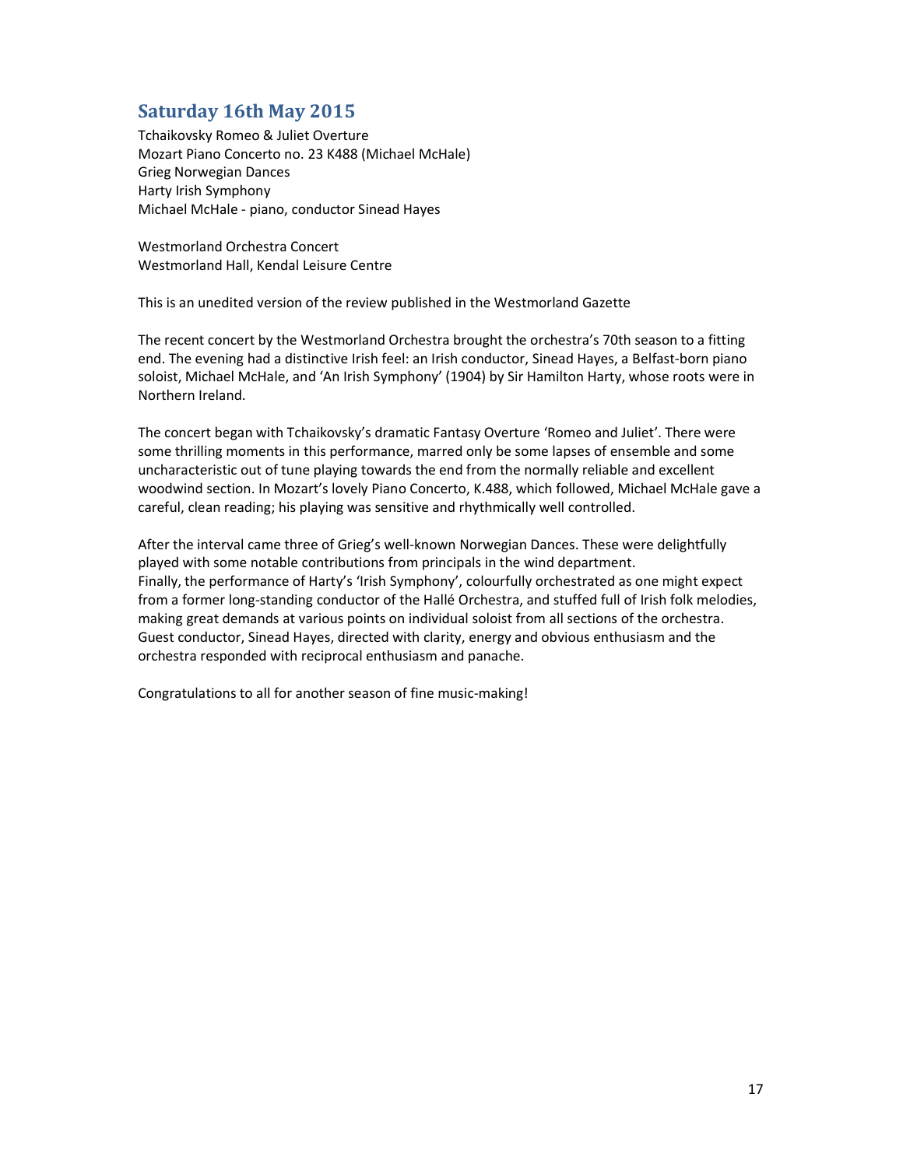# Saturday 16th May 2015

Tchaikovsky Romeo & Juliet Overture Mozart Piano Concerto no. 23 K488 (Michael McHale) Grieg Norwegian Dances Harty Irish Symphony Michael McHale - piano, conductor Sinead Hayes

Westmorland Orchestra Concert Westmorland Hall, Kendal Leisure Centre

This is an unedited version of the review published in the Westmorland Gazette

The recent concert by the Westmorland Orchestra brought the orchestra's 70th season to a fitting end. The evening had a distinctive Irish feel: an Irish conductor, Sinead Hayes, a Belfast-born piano soloist, Michael McHale, and 'An Irish Symphony' (1904) by Sir Hamilton Harty, whose roots were in Northern Ireland.

The concert began with Tchaikovsky's dramatic Fantasy Overture 'Romeo and Juliet'. There were some thrilling moments in this performance, marred only be some lapses of ensemble and some uncharacteristic out of tune playing towards the end from the normally reliable and excellent woodwind section. In Mozart's lovely Piano Concerto, K.488, which followed, Michael McHale gave a careful, clean reading; his playing was sensitive and rhythmically well controlled.

After the interval came three of Grieg's well-known Norwegian Dances. These were delightfully played with some notable contributions from principals in the wind department. Finally, the performance of Harty's 'Irish Symphony', colourfully orchestrated as one might expect from a former long-standing conductor of the Hallé Orchestra, and stuffed full of Irish folk melodies, making great demands at various points on individual soloist from all sections of the orchestra. Guest conductor, Sinead Hayes, directed with clarity, energy and obvious enthusiasm and the orchestra responded with reciprocal enthusiasm and panache.

Congratulations to all for another season of fine music-making!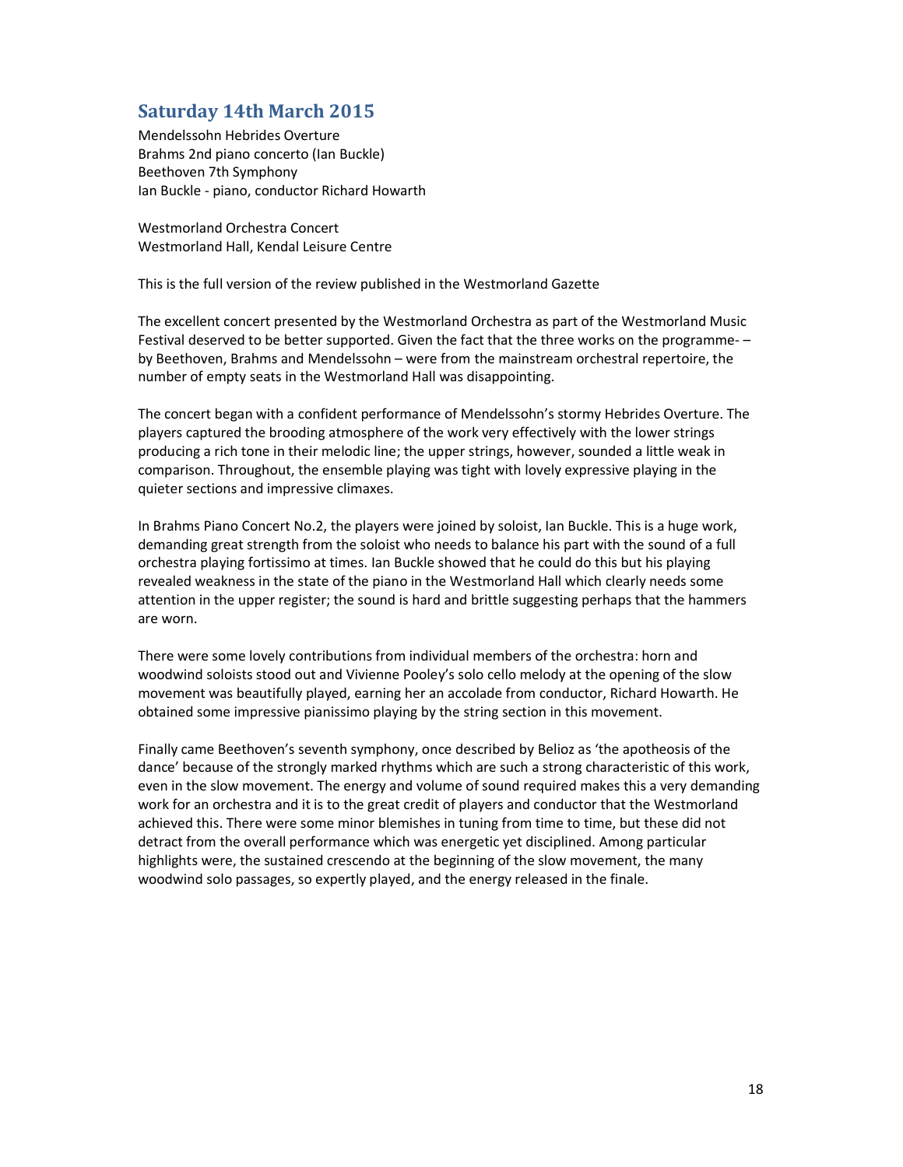#### Saturday 14th March 2015

Mendelssohn Hebrides Overture Brahms 2nd piano concerto (Ian Buckle) Beethoven 7th Symphony Ian Buckle - piano, conductor Richard Howarth

Westmorland Orchestra Concert Westmorland Hall, Kendal Leisure Centre

This is the full version of the review published in the Westmorland Gazette

The excellent concert presented by the Westmorland Orchestra as part of the Westmorland Music Festival deserved to be better supported. Given the fact that the three works on the programme- – by Beethoven, Brahms and Mendelssohn – were from the mainstream orchestral repertoire, the number of empty seats in the Westmorland Hall was disappointing.

The concert began with a confident performance of Mendelssohn's stormy Hebrides Overture. The players captured the brooding atmosphere of the work very effectively with the lower strings producing a rich tone in their melodic line; the upper strings, however, sounded a little weak in comparison. Throughout, the ensemble playing was tight with lovely expressive playing in the quieter sections and impressive climaxes.

In Brahms Piano Concert No.2, the players were joined by soloist, Ian Buckle. This is a huge work, demanding great strength from the soloist who needs to balance his part with the sound of a full orchestra playing fortissimo at times. Ian Buckle showed that he could do this but his playing revealed weakness in the state of the piano in the Westmorland Hall which clearly needs some attention in the upper register; the sound is hard and brittle suggesting perhaps that the hammers are worn.

There were some lovely contributions from individual members of the orchestra: horn and woodwind soloists stood out and Vivienne Pooley's solo cello melody at the opening of the slow movement was beautifully played, earning her an accolade from conductor, Richard Howarth. He obtained some impressive pianissimo playing by the string section in this movement.

Finally came Beethoven's seventh symphony, once described by Belioz as 'the apotheosis of the dance' because of the strongly marked rhythms which are such a strong characteristic of this work, even in the slow movement. The energy and volume of sound required makes this a very demanding work for an orchestra and it is to the great credit of players and conductor that the Westmorland achieved this. There were some minor blemishes in tuning from time to time, but these did not detract from the overall performance which was energetic yet disciplined. Among particular highlights were, the sustained crescendo at the beginning of the slow movement, the many woodwind solo passages, so expertly played, and the energy released in the finale.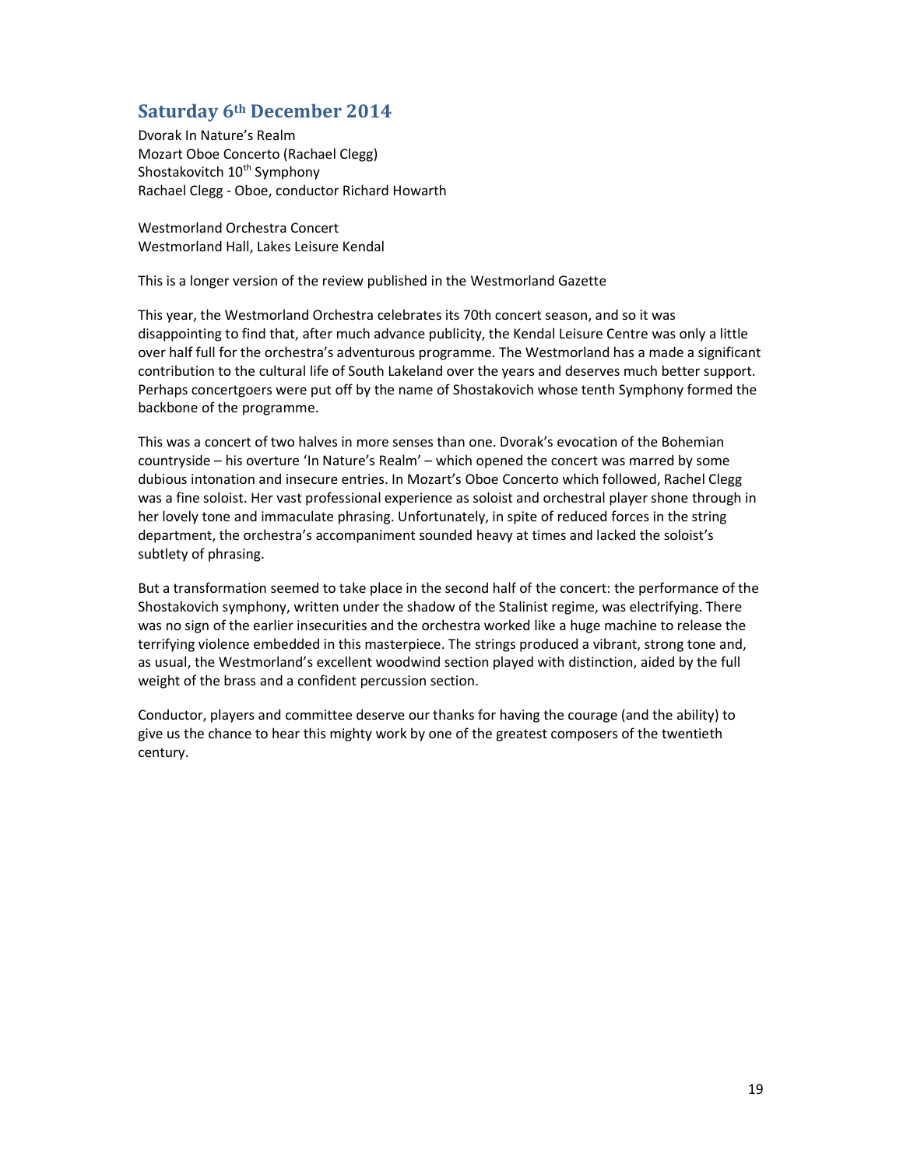## Saturday 6th December 2014

Dvorak In Nature's Realm Mozart Oboe Concerto (Rachael Clegg) Shostakovitch 10<sup>th</sup> Symphony Rachael Clegg - Oboe, conductor Richard Howarth

Westmorland Orchestra Concert Westmorland Hall, Lakes Leisure Kendal

This is a longer version of the review published in the Westmorland Gazette

This year, the Westmorland Orchestra celebrates its 70th concert season, and so it was disappointing to find that, after much advance publicity, the Kendal Leisure Centre was only a little over half full for the orchestra's adventurous programme. The Westmorland has a made a significant contribution to the cultural life of South Lakeland over the years and deserves much better support. Perhaps concertgoers were put off by the name of Shostakovich whose tenth Symphony formed the backbone of the programme.

This was a concert of two halves in more senses than one. Dvorak's evocation of the Bohemian countryside – his overture 'In Nature's Realm' – which opened the concert was marred by some dubious intonation and insecure entries. In Mozart's Oboe Concerto which followed, Rachel Clegg was a fine soloist. Her vast professional experience as soloist and orchestral player shone through in her lovely tone and immaculate phrasing. Unfortunately, in spite of reduced forces in the string department, the orchestra's accompaniment sounded heavy at times and lacked the soloist's subtlety of phrasing.

But a transformation seemed to take place in the second half of the concert: the performance of the Shostakovich symphony, written under the shadow of the Stalinist regime, was electrifying. There was no sign of the earlier insecurities and the orchestra worked like a huge machine to release the terrifying violence embedded in this masterpiece. The strings produced a vibrant, strong tone and, as usual, the Westmorland's excellent woodwind section played with distinction, aided by the full weight of the brass and a confident percussion section.

Conductor, players and committee deserve our thanks for having the courage (and the ability) to give us the chance to hear this mighty work by one of the greatest composers of the twentieth century.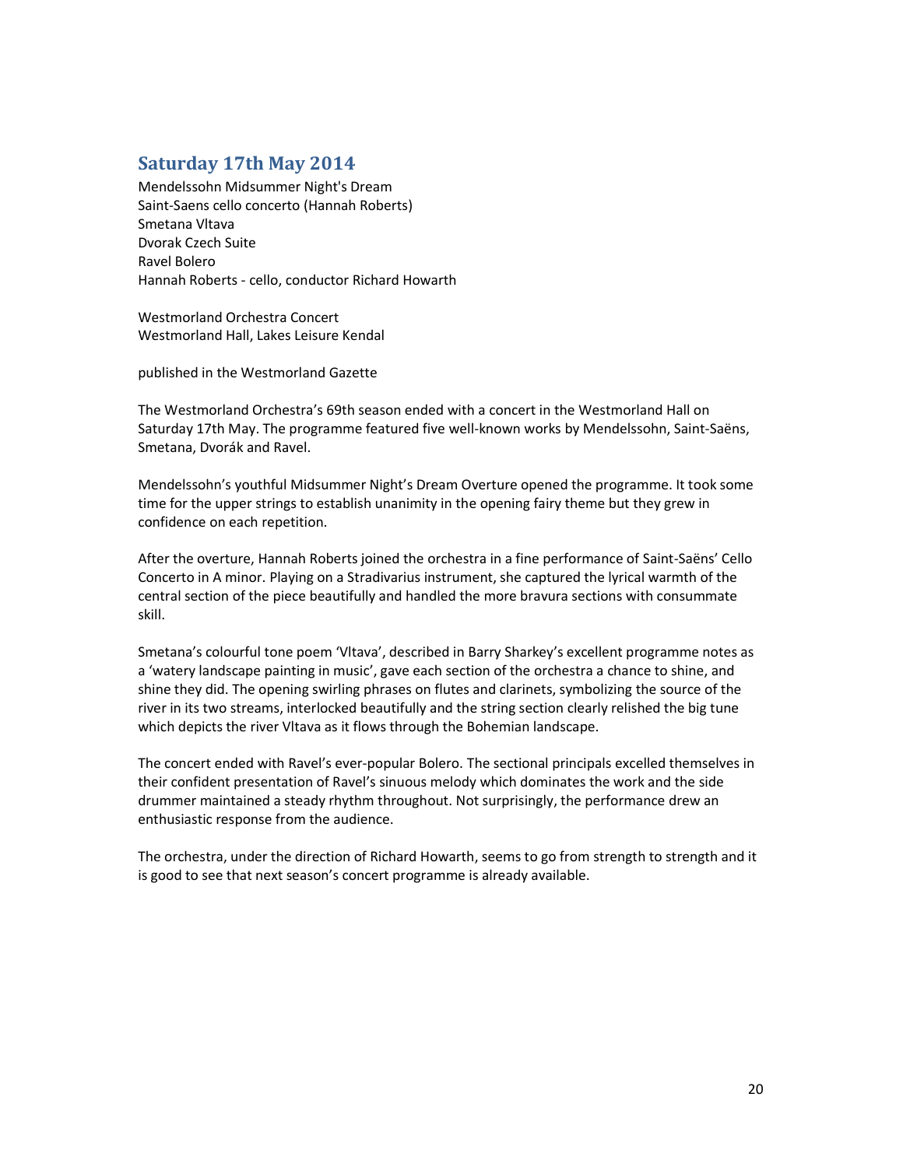## Saturday 17th May 2014

Mendelssohn Midsummer Night's Dream Saint-Saens cello concerto (Hannah Roberts) Smetana Vltava Dvorak Czech Suite Ravel Bolero Hannah Roberts - cello, conductor Richard Howarth

Westmorland Orchestra Concert Westmorland Hall, Lakes Leisure Kendal

published in the Westmorland Gazette

The Westmorland Orchestra's 69th season ended with a concert in the Westmorland Hall on Saturday 17th May. The programme featured five well-known works by Mendelssohn, Saint-Saëns, Smetana, Dvorák and Ravel.

Mendelssohn's youthful Midsummer Night's Dream Overture opened the programme. It took some time for the upper strings to establish unanimity in the opening fairy theme but they grew in confidence on each repetition.

After the overture, Hannah Roberts joined the orchestra in a fine performance of Saint-Saëns' Cello Concerto in A minor. Playing on a Stradivarius instrument, she captured the lyrical warmth of the central section of the piece beautifully and handled the more bravura sections with consummate skill.

Smetana's colourful tone poem 'Vltava', described in Barry Sharkey's excellent programme notes as a 'watery landscape painting in music', gave each section of the orchestra a chance to shine, and shine they did. The opening swirling phrases on flutes and clarinets, symbolizing the source of the river in its two streams, interlocked beautifully and the string section clearly relished the big tune which depicts the river Vltava as it flows through the Bohemian landscape.

The concert ended with Ravel's ever-popular Bolero. The sectional principals excelled themselves in their confident presentation of Ravel's sinuous melody which dominates the work and the side drummer maintained a steady rhythm throughout. Not surprisingly, the performance drew an enthusiastic response from the audience.

The orchestra, under the direction of Richard Howarth, seems to go from strength to strength and it is good to see that next season's concert programme is already available.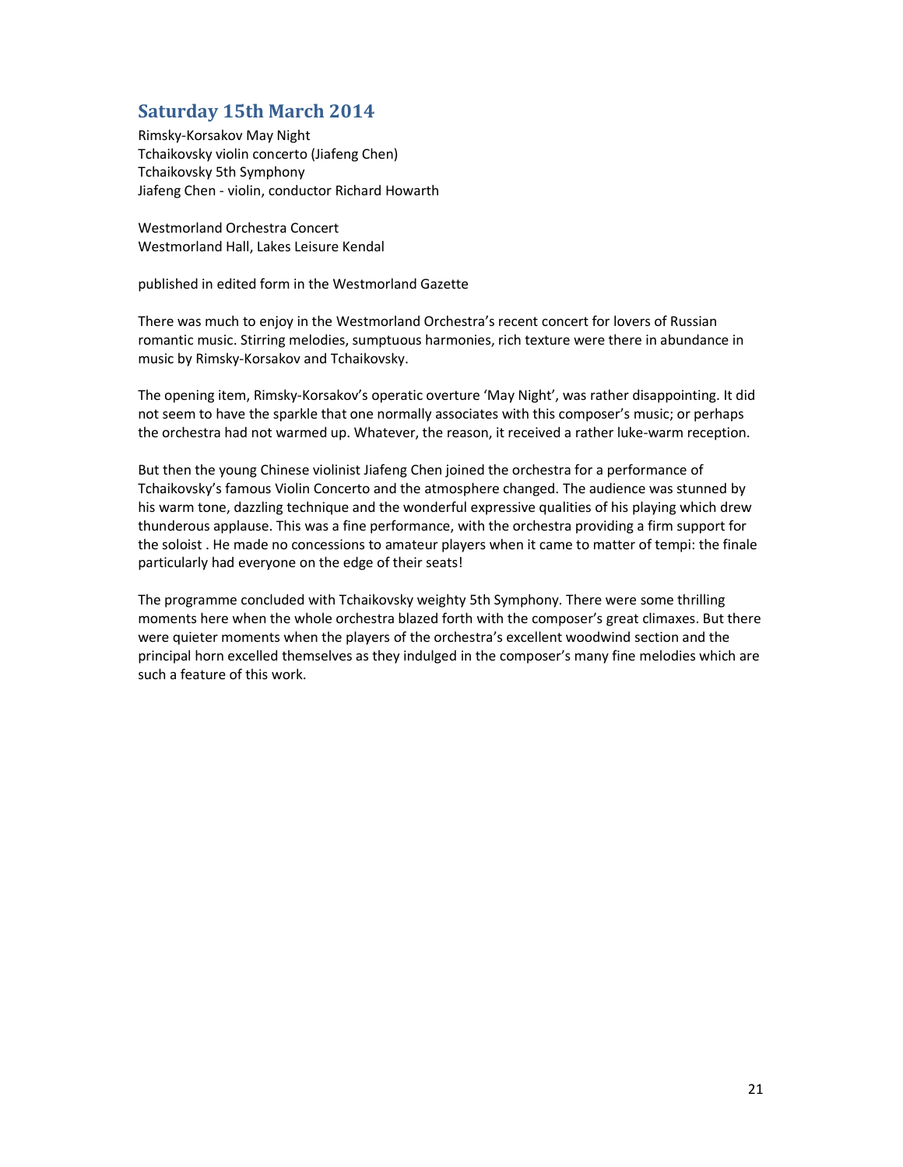# Saturday 15th March 2014

Rimsky-Korsakov May Night Tchaikovsky violin concerto (Jiafeng Chen) Tchaikovsky 5th Symphony Jiafeng Chen - violin, conductor Richard Howarth

Westmorland Orchestra Concert Westmorland Hall, Lakes Leisure Kendal

published in edited form in the Westmorland Gazette

There was much to enjoy in the Westmorland Orchestra's recent concert for lovers of Russian romantic music. Stirring melodies, sumptuous harmonies, rich texture were there in abundance in music by Rimsky-Korsakov and Tchaikovsky.

The opening item, Rimsky-Korsakov's operatic overture 'May Night', was rather disappointing. It did not seem to have the sparkle that one normally associates with this composer's music; or perhaps the orchestra had not warmed up. Whatever, the reason, it received a rather luke-warm reception.

But then the young Chinese violinist Jiafeng Chen joined the orchestra for a performance of Tchaikovsky's famous Violin Concerto and the atmosphere changed. The audience was stunned by his warm tone, dazzling technique and the wonderful expressive qualities of his playing which drew thunderous applause. This was a fine performance, with the orchestra providing a firm support for the soloist . He made no concessions to amateur players when it came to matter of tempi: the finale particularly had everyone on the edge of their seats!

The programme concluded with Tchaikovsky weighty 5th Symphony. There were some thrilling moments here when the whole orchestra blazed forth with the composer's great climaxes. But there were quieter moments when the players of the orchestra's excellent woodwind section and the principal horn excelled themselves as they indulged in the composer's many fine melodies which are such a feature of this work.